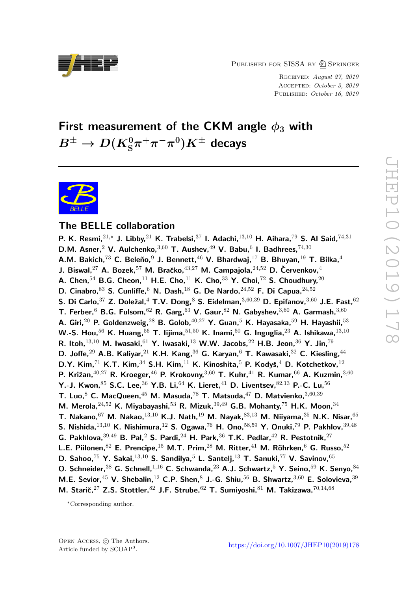PUBLISHED FOR SISSA BY  $\bigcirc$  Springer

Received: August 27, 2019 Accepted: October 3, 2019 PUBLISHED: October 16, 2019

# First measurement of the CKM angle  $\phi_3$  with  $B^{\pm} \to D(K_{\mathrm{S}}^{0} \pi^+ \pi^- \pi^0) K^{\pm}$  decays



# The BELLE collaboration

P. K. Resmi,  $2^{1,*}$  J. Libby,  $2^{1}$  K. Trabelsi,  $37$  I. Adachi,  $13,10$  H. Aihara,  $79$  S. Al Said,  $74,31$ D.M. Asner, 2 V. Aulchenko,  $3,60$  T. Aushev,  $49$  V. Babu,  $6$  I. Badhrees,  $74,30$ A.M. Bakich,<sup>73</sup> C. Beleño,<sup>9</sup> J. Bennett,<sup>46</sup> V. Bhardwaj,<sup>17</sup> B. Bhuyan,<sup>19</sup> T. Bilka,<sup>4</sup> J. Biswal,<sup>27</sup> A. Bozek,<sup>57</sup> M. Bračko,<sup>43,27</sup> M. Campajola,<sup>24,52</sup> D. Červenkov,<sup>4</sup> A. Chen.<sup>54</sup> B.G. Cheon.<sup>11</sup> H.E. Cho.<sup>11</sup> K. Cho.<sup>33</sup> Y. Choi.<sup>72</sup> S. Choudhury.<sup>20</sup> D. Cinabro,  $83$  S. Cunliffe,  $6$  N. Dash,  $18$  G. De Nardo,  $24,52$  F. Di Capua,  $24,52$ S. Di Carlo,  $37$  Z. Doležal,  $4$  T.V. Dong,  $8$  S. Eidelman,  $3,60,39$  D. Epifanov,  $3,60$  J.E. Fast,  $62$ T. Ferber,  $6$  B.G. Fulsom,  $62$  R. Garg,  $63$  V. Gaur,  $82$  N. Gabyshev,  $3,60$  A. Garmash,  $3,60$ A. Giri, $^{20}$  P. Goldenzweig, $^{28}$  B. Golob, $^{40,27}$  Y. Guan, $^5$  K. Hayasaka, $^{59}$  H. Hayashii, $^{53}$ W.-S. Hou,<sup>56</sup> K. Huang,<sup>56</sup> T. Iijima,<sup>51,50</sup> K. Inami,<sup>50</sup> G. Inguglia,<sup>23</sup> A. Ishikawa,<sup>13,10</sup> R. Itoh,  $^{13,10}$  M. Iwasaki,  $^{61}$  Y. Iwasaki,  $^{13}$  W.W. Jacobs,  $^{22}$  H.B. Jeon,  $^{36}$  Y. Jin,  $^{79}$ D. Joffe, <sup>29</sup> A.B. Kaliyar, <sup>21</sup> K.H. Kang, <sup>36</sup> G. Karyan, <sup>6</sup> T. Kawasaki, <sup>32</sup> C. Kiesling, <sup>44</sup> D.Y. Kim,  $71$  K.T. Kim,  $34$  S.H. Kim,  $11$  K. Kinoshita,  $5$  P. Kodyš,  $4$  D. Kotchetkov,  $12$ P. Križan,  $40,27$  R. Kroeger,  $46$  P. Krokovny,  $3,60$  T. Kuhr,  $41$  R. Kumar,  $66$  A. Kuzmin,  $3,60$ Y.-J. Kwon,  $85$  S.C. Lee,  $36$  Y.B. Li,  $64$  K. Lieret,  $41$  D. Liventsev,  $82,13$  P.-C. Lu,  $56$ T. Luo,  $8$  C. MacQueen,  $45$  M. Masuda,  $78$  T. Matsuda,  $47$  D. Matvienko,  $3,60,39$ M. Merola,  $24,52$  K. Miyabayashi,  $53$  R. Mizuk,  $39,49$  G.B. Mohanty,  $75$  H.K. Moon,  $34$ T. Nakano,  $67$  M. Nakao,  $^{13,10}$  K.J. Nath,  $^{19}$  M. Nayak,  $^{83,13}$  M. Niiyama,  $^{35}$  N.K. Nisar,  $^{65}$ S. Nishida,  $^{13,10}$  K. Nishimura,  $^{12}$  S. Ogawa,  $^{76}$  H. Ono,  $^{58,59}$  Y. Onuki,  $^{79}$  P. Pakhlov,  $^{39,48}$ G. Pakhlova,  $39,49$  B. Pal,  $2$  S. Pardi,  $24$  H. Park,  $36$  T.K. Pedlar,  $42$  R. Pestotnik,  $27$ L.E. Piilonen,  $82$  E. Prencipe,  $15$  M.T. Prim,  $28$  M. Ritter,  $41$  M. Röhrken,  $6$  G. Russo,  $52$ D. Sahoo.<sup>75</sup> Y. Sakai.<sup>13,10</sup> S. Sandilya.<sup>5</sup> L. Santeli.<sup>13</sup> T. Sanuki.<sup>77</sup> V. Savinov.<sup>65</sup> O. Schneider,  $38$  G. Schnell,  $1,16$  C. Schwanda,  $23$  A.J. Schwartz,  $5$  Y. Seino,  $59$  K. Senyo,  $84$ M.E. Sevior,  $45$  V. Shebalin,  $12$  C.P. Shen,  $8$  J.-G. Shiu,  $56$  B. Shwartz,  $3,60$  E. Solovieva,  $39$ M. Starič, $^{27}$  Z.S. Stottler, $^{82}$  J.F. Strube, $^{62}$  T. Sumiyoshi, $^{81}$  M. Takizawa, $^{70,14,68}$ 



<sup>∗</sup>Corresponding author.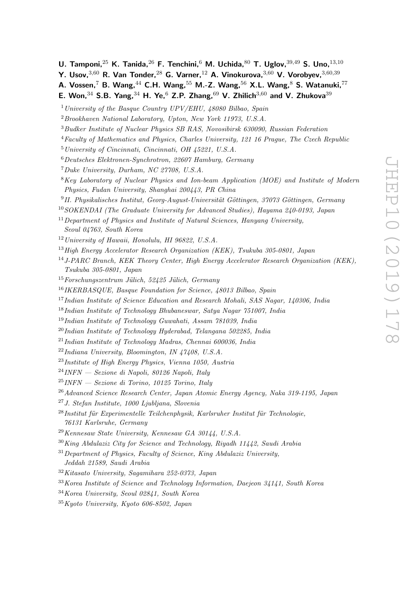- U. Tamponi,  $2^5$  K. Tanida,  $2^6$  F. Tenchini,  $^6$  M. Uchida,  $^{80}$  T. Uglov,  $39,49$  S. Uno,  $13,10$
- Y. Usov,  $3,60$  R. Van Tonder,  $28$  G. Varner,  $12$  A. Vinokurova,  $3,60$  V. Vorobyev,  $3,60,39$
- A. Vossen,<sup>7</sup> B. Wang,<sup>44</sup> C.H. Wang,<sup>55</sup> M.-Z. Wang,<sup>56</sup> X.L. Wang,<sup>8</sup> S. Watanuki,<sup>77</sup>
- E. Won,  $34$  S.B. Yang,  $34$  H. Ye,  $6$  Z.P. Zhang,  $69$  V. Zhilich  $3,60$  and V. Zhukova  $39$
- <sup>1</sup> University of the Basque Country UPV/EHU,  $48080$  Bilbao, Spain
- <sup>2</sup>Brookhaven National Laboratory, Upton, New York 11973, U.S.A.
- <sup>3</sup>Budker Institute of Nuclear Physics SB RAS, Novosibirsk 630090, Russian Federation
- <sup>4</sup>Faculty of Mathematics and Physics, Charles University, 121 16 Prague, The Czech Republic
- <sup>5</sup>University of Cincinnati, Cincinnati, OH 45221, U.S.A.
- <sup>6</sup>Deutsches Elektronen-Synchrotron, 22607 Hamburg, Germany
- <sup>7</sup>Duke University, Durham, NC 27708, U.S.A.
- $8$ Key Laboratory of Nuclear Physics and Ion-beam Application (MOE) and Institute of Modern Physics, Fudan University, Shanghai 200443, PR China
- $^{9}$ II. Physikalisches Institut, Georg-August-Universität Göttingen, 37073 Göttingen, Germany
- <sup>10</sup>SOKENDAI (The Graduate University for Advanced Studies), Hayama 240-0193, Japan
- $11$  Department of Physics and Institute of Natural Sciences, Hanyang University, Seoul 04763, South Korea
- $12$  University of Hawaii, Honolulu, HI 96822, U.S.A.
- <sup>13</sup>High Energy Accelerator Research Organization (KEK), Tsukuba 305-0801, Japan
- <sup>14</sup>J-PARC Branch, KEK Theory Center, High Energy Accelerator Research Organization (KEK), Tsukuba 305-0801, Japan
- $15$ Forschungszentrum Jülich, 52425 Jülich, Germany
- <sup>16</sup>IKERBASQUE, Basque Foundation for Science, 48013 Bilbao, Spain
- <sup>17</sup>Indian Institute of Science Education and Research Mohali, SAS Nagar, 140306, India
- <sup>18</sup>Indian Institute of Technology Bhubaneswar, Satya Nagar 751007, India
- <sup>19</sup>Indian Institute of Technology Guwahati, Assam 781039, India
- $^{20}$ Indian Institute of Technology Hyderabad, Telangana 502285, India
- $^{21}$ Indian Institute of Technology Madras, Chennai 600036, India
- $^{22}$ Indiana University, Bloomington, IN 47408, U.S.A.
- <sup>23</sup>Institute of High Energy Physics, Vienna 1050, Austria
- $^{24}$ INFN Sezione di Napoli, 80126 Napoli, Italy
- $^{25}$ INFN Sezione di Torino, 10125 Torino, Italy
- <sup>26</sup>Advanced Science Research Center, Japan Atomic Energy Agency, Naka 319-1195, Japan
- <sup>27</sup>J. Stefan Institute, 1000 Ljubljana, Slovenia
- $^{28}$ Institut für Experimentelle Teilchenphysik, Karlsruher Institut für Technologie. 76131 Karlsruhe, Germany
- <sup>29</sup>Kennesaw State University, Kennesaw GA 30144, U.S.A.
- $30$ King Abdulaziz City for Science and Technology, Riyadh 11442, Saudi Arabia
- $31$  Department of Physics, Faculty of Science, King Abdulaziz University, Jeddah 21589, Saudi Arabia
- <sup>32</sup>Kitasato University, Sagamihara 252-0373, Japan
- <sup>33</sup>Korea Institute of Science and Technology Information, Daejeon 34141, South Korea
- <sup>34</sup>Korea University, Seoul 02841, South Korea
- <sup>35</sup>Kyoto University, Kyoto 606-8502, Japan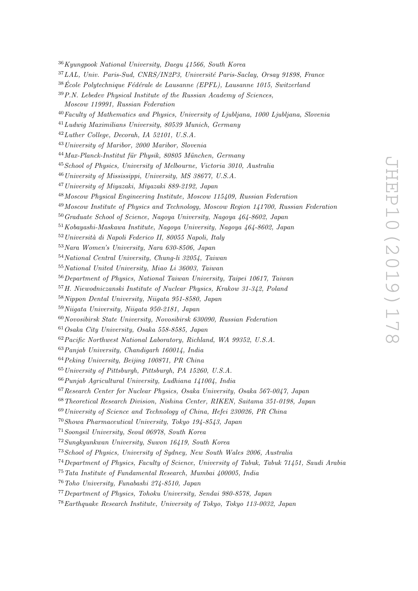Kyungpook National University, Daegu 41566, South Korea

<sup>37</sup>LAL, Univ. Paris-Sud, CNRS/IN2P3, Université Paris-Saclay, Orsay 91898, France

 $38\text{École Polytechnique Fédérale de Lausanne (EPFL), Lausanne 1015, Switzerland$ 

 $39 P.N.$  Lebedev Physical Institute of the Russian Academy of Sciences.

Moscow 119991, Russian Federation

Faculty of Mathematics and Physics, University of Ljubliana, 1000 Ljubliana, Slovenia

Ludwig Maximilians University, 80539 Munich, Germany

Luther College, Decorah, IA 52101, U.S.A.

University of Maribor, 2000 Maribor, Slovenia

 $^{44}$ Max-Planck-Institut für Physik, 80805 München, Germany

School of Physics, University of Melbourne, Victoria 3010, Australia

University of Mississippi, University, MS 38677, U.S.A.

University of Miyazaki, Miyazaki 889-2192, Japan

Moscow Physical Engineering Institute, Moscow 115409, Russian Federation

Moscow Institute of Physics and Technology, Moscow Region 141700, Russian Federation

Graduate School of Science, Nagoya University, Nagoya 464-8602, Japan

Kobayashi-Maskawa Institute, Nagoya University, Nagoya 464-8602, Japan

Università di Napoli Federico II, 80055 Napoli, Italy

Nara Women's University, Nara 630-8506, Japan

National Central University, Chung-li 32054, Taiwan

National United University, Miao Li 36003, Taiwan

Department of Physics, National Taiwan University, Taipei 10617, Taiwan

H. Niewodniczanski Institute of Nuclear Physics, Krakow 31-342, Poland

Nippon Dental University, Niigata 951-8580, Japan

Niigata University, Niigata 950-2181, Japan

Novosibirsk State University, Novosibirsk 630090, Russian Federation

Osaka City University, Osaka 558-8585, Japan

Pacific Northwest National Laboratory, Richland, WA 99352, U.S.A.

Panjab University, Chandigarh 160014, India

Peking University, Beijing 100871, PR China

University of Pittsburgh, Pittsburgh, PA 15260, U.S.A.

Punjab Agricultural University, Ludhiana 141004, India

Research Center for Nuclear Physics, Osaka University, Osaka 567-0047, Japan

Theoretical Research Division, Nishina Center, RIKEN, Saitama 351-0198, Japan

University of Science and Technology of China, Hefei 230026, PR China

Showa Pharmaceutical University, Tokyo 194-8543, Japan

Soongsil University, Seoul 06978, South Korea

Sungkyunkwan University, Suwon 16419, South Korea

School of Physics, University of Sydney, New South Wales 2006, Australia

Department of Physics, Faculty of Science, University of Tabuk, Tabuk 71451, Saudi Arabia

Tata Institute of Fundamental Research, Mumbai 400005, India

Toho University, Funabashi 274-8510, Japan

Department of Physics, Tohoku University, Sendai 980-8578, Japan

Earthquake Research Institute, University of Tokyo, Tokyo 113-0032, Japan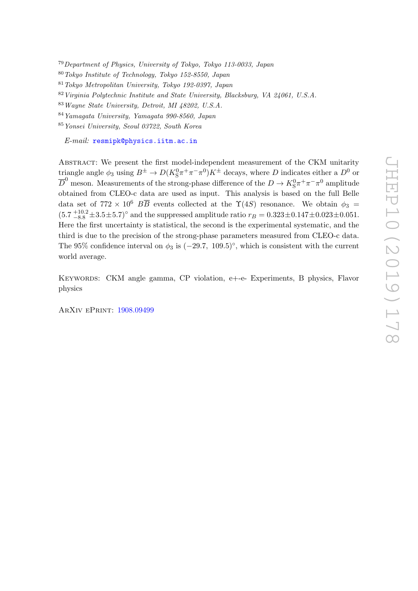<sup>79</sup>Department of Physics, University of Tokyo, Tokyo 113-0033, Japan

<sup>80</sup>Tokyo Institute of Technology, Tokyo 152-8550, Japan

<sup>81</sup>Tokyo Metropolitan University, Tokyo 192-0397, Japan

<sup>82</sup>Virginia Polytechnic Institute and State University, Blacksburg, VA 24061, U.S.A.

<sup>83</sup>Wayne State University, Detroit, MI 48202, U.S.A.

<sup>84</sup>Yamagata University, Yamagata 990-8560, Japan

<sup>85</sup>Yonsei University, Seoul 03722, South Korea

E-mail: [resmipk@physics.iitm.ac.in](mailto:resmipk@physics.iitm.ac.in)

Abstract: We present the first model-independent measurement of the CKM unitarity triangle angle  $\phi_3$  using  $B^{\pm} \to D(K_S^0 \pi^+ \pi^- \pi^0) K^{\pm}$  decays, where D indicates either a  $D^0$  or  $\overline{D}^0$  meson. Measurements of the strong-phase difference of the  $D \to K^0_S \pi^+ \pi^- \pi^0$  amplitude obtained from CLEO-c data are used as input. This analysis is based on the full Belle data set of 772 × 10<sup>6</sup>  $B\overline{B}$  events collected at the  $\Upsilon(4S)$  resonance. We obtain  $\phi_3 =$  $(5.7 \frac{+10.2}{-8.8} \pm 3.5 \pm 5.7)$ ° and the suppressed amplitude ratio  $r_B = 0.323 \pm 0.147 \pm 0.023 \pm 0.051$ . Here the first uncertainty is statistical, the second is the experimental systematic, and the third is due to the precision of the strong-phase parameters measured from CLEO-c data. The 95% confidence interval on  $\phi_3$  is  $(-29.7, 109.5)^\circ$ , which is consistent with the current world average.

Keywords: CKM angle gamma, CP violation, e+-e- Experiments, B physics, Flavor physics

ArXiv ePrint: [1908.09499](https://arxiv.org/abs/1908.09499)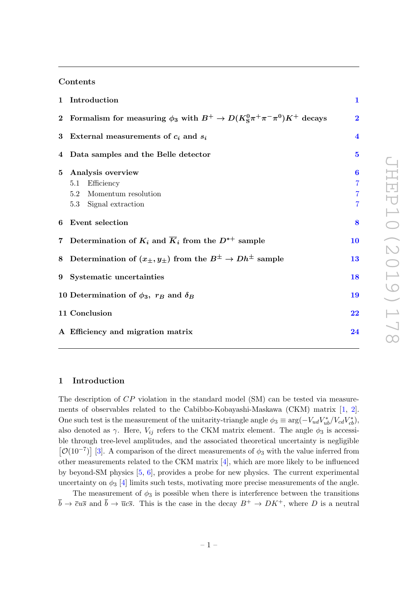# Contents

|             | 1 Introduction                                                                                | $\mathbf{1}$                                 |
|-------------|-----------------------------------------------------------------------------------------------|----------------------------------------------|
|             | 2 Formalism for measuring $\phi_3$ with $B^+ \to D(K_S^0 \pi^+ \pi^- \pi^0) K^+$ decays       | $\overline{2}$                               |
|             | 3 External measurements of $c_i$ and $s_i$                                                    | $\overline{\mathbf{4}}$                      |
|             | 4 Data samples and the Belle detector                                                         | $\overline{5}$                               |
| $5^{\circ}$ | Analysis overview<br>Efficiency<br>5.1<br>Momentum resolution<br>5.2<br>5.3 Signal extraction | $\boldsymbol{6}$<br>7<br>7<br>$\overline{7}$ |
|             | 6 Event selection                                                                             | 8                                            |
|             | 7 Determination of $K_i$ and $\overline{K}_i$ from the $D^{*+}$ sample                        | 10                                           |
|             | 8 Determination of $(x_{\pm}, y_{\pm})$ from the $B^{\pm} \to Dh^{\pm}$ sample                | 13                                           |
|             | 9 Systematic uncertainties                                                                    | 18                                           |
|             | 10 Determination of $\phi_3$ , $r_B$ and $\delta_B$                                           | 19                                           |
|             | 11 Conclusion                                                                                 | $\overline{22}$                              |
|             | A Efficiency and migration matrix                                                             | 24                                           |
|             |                                                                                               |                                              |

# <span id="page-4-0"></span>1 Introduction

The description of CP violation in the standard model (SM) can be tested via measurements of observables related to the Cabibbo-Kobayashi-Maskawa (CKM) matrix [\[1,](#page-28-0) [2\]](#page-28-1). One such test is the measurement of the unitarity-triangle angle  $\phi_3 \equiv \arg(-V_{ud}V_{ub}^*/V_{cd}V_{cb}^*)$ , also denoted as  $\gamma$ . Here,  $V_{ij}$  refers to the CKM matrix element. The angle  $\phi_3$  is accessible through tree-level amplitudes, and the associated theoretical uncertainty is negligible  $\left[O(10^{-7})\right]$  [\[3\]](#page-28-2). A comparison of the direct measurements of  $\phi_3$  with the value inferred from other measurements related to the CKM matrix [\[4\]](#page-28-3), which are more likely to be influenced by beyond-SM physics [\[5,](#page-28-4) [6\]](#page-28-5), provides a probe for new physics. The current experimental uncertainty on  $\phi_3$  [\[4\]](#page-28-3) limits such tests, motivating more precise measurements of the angle.

The measurement of  $\phi_3$  is possible when there is interference between the transitions  $\bar{b} \to \bar{c}u\bar{s}$  and  $\bar{b} \to \bar{u}c\bar{s}$ . This is the case in the decay  $B^+ \to D K^+$ , where D is a neutral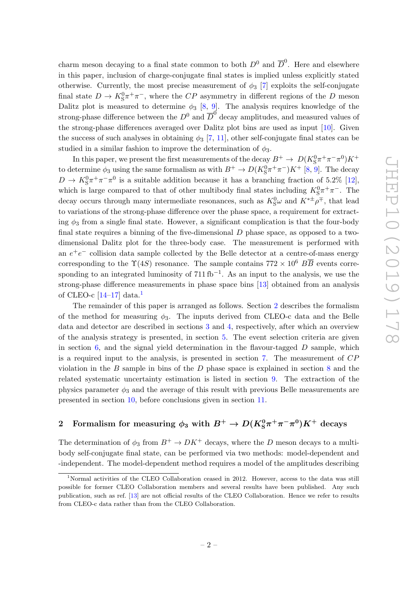charm meson decaying to a final state common to both  $D^0$  and  $\overline{D}^0$ . Here and elsewhere in this paper, inclusion of charge-conjugate final states is implied unless explicitly stated otherwise. Currently, the most precise measurement of  $\phi_3$  [\[7\]](#page-28-6) exploits the self-conjugate final state  $D \to K^0_S \pi^+ \pi^-$ , where the  $CP$  asymmetry in different regions of the D meson Dalitz plot is measured to determine  $\phi_3$  [\[8,](#page-28-7) [9\]](#page-28-8). The analysis requires knowledge of the strong-phase difference between the  $D^0$  and  $\overline{D}^0$  decay amplitudes, and measured values of the strong-phase differences averaged over Dalitz plot bins are used as input [\[10\]](#page-29-0). Given the success of such analyses in obtaining  $\phi_3$  [\[7,](#page-28-6) [11\]](#page-29-1), other self-conjugate final states can be studied in a similar fashion to improve the determination of  $\phi_3$ .

In this paper, we present the first measurements of the decay  $B^+ \to D(K_S^0 \pi^+ \pi^- \pi^0) K^+$ to determine  $\phi_3$  using the same formalism as with  $B^+ \to D(K_S^0 \pi^+ \pi^-) K^+$  [\[8,](#page-28-7) [9\]](#page-28-8). The decay  $D \to K^0_S \pi^+ \pi^- \pi^0$  is a suitable addition because it has a branching fraction of 5.2% [\[12\]](#page-29-2), which is large compared to that of other multibody final states including  $K_S^0 \pi^+ \pi^-$ . The decay occurs through many intermediate resonances, such as  $K_S^0\omega$  and  $K^{*\pm}\rho^{\mp}$ , that lead to variations of the strong-phase difference over the phase space, a requirement for extracting  $\phi_3$  from a single final state. However, a significant complication is that the four-body final state requires a binning of the five-dimensional  $D$  phase space, as opposed to a twodimensional Dalitz plot for the three-body case. The measurement is performed with an  $e^+e^-$  collision data sample collected by the Belle detector at a centre-of-mass energy corresponding to the  $\Upsilon(4S)$  resonance. The sample contains  $772 \times 10^6$   $B\overline{B}$  events corresponding to an integrated luminosity of  $711 \text{ fb}^{-1}$ . As an input to the analysis, we use the strong-phase difference measurements in phase space bins [\[13\]](#page-29-3) obtained from an analysis of CLEO-c  $[14-17]$  $[14-17]$  $[14-17]$  data.<sup>1</sup>

The remainder of this paper is arranged as follows. Section [2](#page-5-0) describes the formalism of the method for measuring  $\phi_3$ . The inputs derived from CLEO-c data and the Belle data and detector are described in sections [3](#page-7-0) and [4,](#page-8-0) respectively, after which an overview of the analysis strategy is presented, in section [5.](#page-9-0) The event selection criteria are given in section  $6$ , and the signal yield determination in the flavour-tagged  $D$  sample, which is a required input to the analysis, is presented in section [7.](#page-13-0) The measurement of CP violation in the  $B$  sample in bins of the  $D$  phase space is explained in section  $8$  and the related systematic uncertainty estimation is listed in section [9.](#page-21-0) The extraction of the physics parameter  $\phi_3$  and the average of this result with previous Belle measurements are presented in section [10,](#page-22-0) before conclusions given in section [11.](#page-25-0)

# <span id="page-5-0"></span>2 Formalism for measuring  $\phi_3$  with  $B^+ \to D(K_{\rm S}^0 \pi^+ \pi^- \pi^0) K^+$  decays

The determination of  $\phi_3$  from  $B^+ \to D K^+$  decays, where the D meson decays to a multibody self-conjugate final state, can be performed via two methods: model-dependent and -independent. The model-dependent method requires a model of the amplitudes describing

<span id="page-5-1"></span><sup>1</sup>Normal activities of the CLEO Collaboration ceased in 2012. However, access to the data was still possible for former CLEO Collaboration members and several results have been published. Any such publication, such as ref. [\[13\]](#page-29-3) are not official results of the CLEO Collaboration. Hence we refer to results from CLEO-c data rather than from the CLEO Collaboration.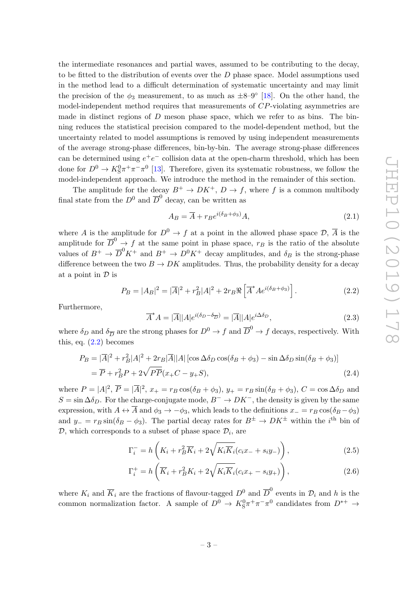the intermediate resonances and partial waves, assumed to be contributing to the decay, to be fitted to the distribution of events over the  $D$  phase space. Model assumptions used in the method lead to a difficult determination of systematic uncertainty and may limit the precision of the  $\phi_3$  measurement, to as much as  $\pm 8-9°$  [\[18\]](#page-29-6). On the other hand, the model-independent method requires that measurements of CP-violating asymmetries are made in distinct regions of  $D$  meson phase space, which we refer to as bins. The binning reduces the statistical precision compared to the model-dependent method, but the uncertainty related to model assumptions is removed by using independent measurements of the average strong-phase differences, bin-by-bin. The average strong-phase differences can be determined using  $e^+e^-$  collision data at the open-charm threshold, which has been done for  $D^0 \to K_S^0 \pi^+ \pi^- \pi^0$  [\[13\]](#page-29-3). Therefore, given its systematic robustness, we follow the model-independent approach. We introduce the method in the remainder of this section.

The amplitude for the decay  $B^+ \to D K^+$ ,  $D \to f$ , where f is a common multibody final state from the  $D^0$  and  $\overline{D}^0$  decay, can be written as

<span id="page-6-0"></span>
$$
A_B = \overline{A} + r_B e^{i(\delta_B + \phi_3)} A,\tag{2.1}
$$

where A is the amplitude for  $D^0 \to f$  at a point in the allowed phase space  $\mathcal{D}, \overline{A}$  is the amplitude for  $\overline{D}^0 \to f$  at the same point in phase space,  $r_B$  is the ratio of the absolute values of  $B^+ \to \overline{D}^0 K^+$  and  $B^+ \to D^0 K^+$  decay amplitudes, and  $\delta_B$  is the strong-phase difference between the two  $B \to DK$  amplitudes. Thus, the probability density for a decay at a point in  $\mathcal D$  is

$$
P_B = |A_B|^2 = |\overline{A}|^2 + r_B^2 |A|^2 + 2r_B \Re \left[ \overline{A}^* A e^{i(\delta_B + \phi_3)} \right]. \tag{2.2}
$$

Furthermore,

$$
\overline{A}^* A = |\overline{A}| |A| e^{i(\delta_D - \delta_{\overline{D}})} = |\overline{A}| |A| e^{i\Delta \delta_D}, \qquad (2.3)
$$

where  $\delta_D$  and  $\delta_{\overline{D}}$  are the strong phases for  $D^0 \to f$  and  $\overline{D}^0 \to f$  decays, respectively. With this, eq.  $(2.2)$  becomes

$$
P_B = |\overline{A}|^2 + r_B^2 |A|^2 + 2r_B |\overline{A}| |A| \left[ \cos \Delta \delta_D \cos(\delta_B + \phi_3) - \sin \Delta \delta_D \sin(\delta_B + \phi_3) \right]
$$
  
=  $\overline{P} + r_B^2 P + 2\sqrt{P} \overline{P} (x_+ C - y_+ S),$  (2.4)

where  $P = |A|^2$ ,  $\overline{P} = |\overline{A}|^2$ ,  $x_+ = r_B \cos(\delta_B + \phi_3)$ ,  $y_+ = r_B \sin(\delta_B + \phi_3)$ ,  $C = \cos \Delta \delta_D$  and  $S = \sin \Delta \delta_D$ . For the charge-conjugate mode,  $B^- \to DK^-$ , the density is given by the same expression, with  $A \leftrightarrow \overline{A}$  and  $\phi_3 \to -\phi_3$ , which leads to the definitions  $x_ - = r_B \cos(\delta_B - \phi_3)$ and  $y_ - = r_B \sin(\delta_B - \phi_3)$ . The partial decay rates for  $B^{\pm} \to D K^{\pm}$  within the *i*<sup>th</sup> bin of  $D$ , which corresponds to a subset of phase space  $D_i$ , are

<span id="page-6-1"></span>
$$
\Gamma_i^- = h\left(K_i + r_B^2 \overline{K}_i + 2\sqrt{K_i \overline{K}_i}(c_i x_- + s_i y_-)\right),\tag{2.5}
$$

<span id="page-6-2"></span>
$$
\Gamma_i^+ = h\left(\overline{K}_i + r_B^2 K_i + 2\sqrt{K_i \overline{K}_i}(c_i x_+ - s_i y_+)\right),\tag{2.6}
$$

where  $K_i$  and  $\overline{K}_i$  are the fractions of flavour-tagged  $D^0$  and  $\overline{D}^0$  events in  $\mathcal{D}_i$  and h is the common normalization factor. A sample of  $D^0 \to K_S^0 \pi^+ \pi^- \pi^0$  candidates from  $D^{*+} \to$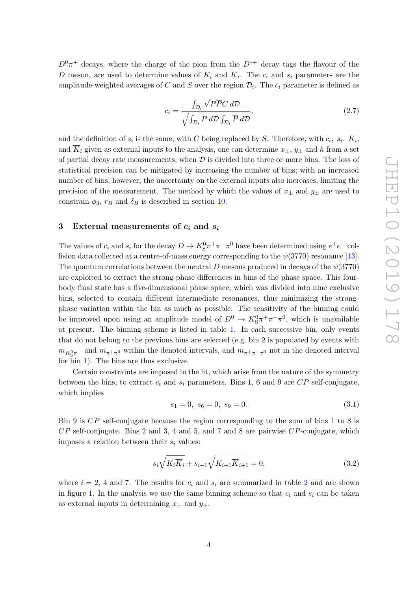$D^{0}\pi^{+}$  decays, where the charge of the pion from the  $D^{*+}$  decay tags the flavour of the D meson, are used to determine values of  $K_i$  and  $K_i$ . The  $c_i$  and  $s_i$  parameters are the amplitude-weighted averages of C and S over the region  $\mathcal{D}_i$ . The  $c_i$  parameter is defined as

$$
c_i = \frac{\int_{\mathcal{D}_i} \sqrt{P\overline{P}} C \, d\mathcal{D}}{\sqrt{\int_{\mathcal{D}_i} P \, d\mathcal{D} \int_{\mathcal{D}_i} \overline{P} \, d\mathcal{D}}},\tag{2.7}
$$

and the definition of  $s_i$  is the same, with C being replaced by S. Therefore, with  $c_i$ ,  $s_i$ ,  $K_i$ , and  $\overline{K}_i$  given as external inputs to the analysis, one can determine  $x_{\pm}$ ,  $y_{\pm}$  and h from a set of partial decay rate measurements, when  $D$  is divided into three or more bins. The loss of statistical precision can be mitigated by increasing the number of bins; with an increased number of bins, however, the uncertainty on the external inputs also increases, limiting the precision of the measurement. The method by which the values of  $x_{\pm}$  and  $y_{\pm}$  are used to constrain  $\phi_3$ ,  $r_B$  and  $\delta_B$  is described in section [10.](#page-22-0)

### <span id="page-7-0"></span>3 External measurements of  $c_i$  and  $s_i$

The values of  $c_i$  and  $s_i$  for the decay  $D \to K_S^0 \pi^+ \pi^- \pi^0$  have been determined using  $e^+ e^-$  collision data collected at a centre-of-mass energy corresponding to the  $\psi(3770)$  resonance [\[13\]](#page-29-3). The quantum correlations between the neutral D mesons produced in decays of the  $\psi(3770)$ are exploited to extract the strong-phase differences in bins of the phase space. This fourbody final state has a five-dimensional phase space, which was divided into nine exclusive bins, selected to contain different intermediate resonances, thus minimizing the strongphase variation within the bin as much as possible. The sensitivity of the binning could be improved upon using an amplitude model of  $D^0 \to K_S^0 \pi^+ \pi^- \pi^0$ , which is unavailable at present. The binning scheme is listed in table [1.](#page-8-1) In each successive bin, only events that do not belong to the previous bins are selected (e.g. bin 2 is populated by events with  $m_{K^0_S \pi^-}$  and  $m_{\pi^+ \pi^0}$  within the denoted intervals, and  $m_{\pi^+ \pi^- \pi^0}$  not in the denoted interval for bin 1). The bins are thus exclusive.

Certain constraints are imposed in the fit, which arise from the nature of the symmetry between the bins, to extract  $c_i$  and  $s_i$  parameters. Bins 1, 6 and 9 are  $CP$  self-conjugate, which implies

$$
s_1 = 0, \ s_6 = 0, \ s_9 = 0. \tag{3.1}
$$

Bin 9 is CP self-conjugate because the region corresponding to the sum of bins 1 to 8 is  $CP$  self-conjugate. Bins 2 and 3, 4 and 5, and 7 and 8 are pairwise  $CP$ -conjugate, which imposes a relation between their  $s_i$  values:

<span id="page-7-1"></span>
$$
s_i\sqrt{K_i\overline{K}_i} + s_{i+1}\sqrt{K_{i+1}\overline{K}_{i+1}} = 0,
$$
\n(3.2)

where  $i = 2, 4$  $i = 2, 4$  $i = 2, 4$  and 7. The results for  $c_i$  and  $s_i$  are summarized in table 2 and are shown in figure [1.](#page-9-1) In the analysis we use the same binning scheme so that  $c_i$  and  $s_i$  can be taken as external inputs in determining  $x_{\pm}$  and  $y_{\pm}$ .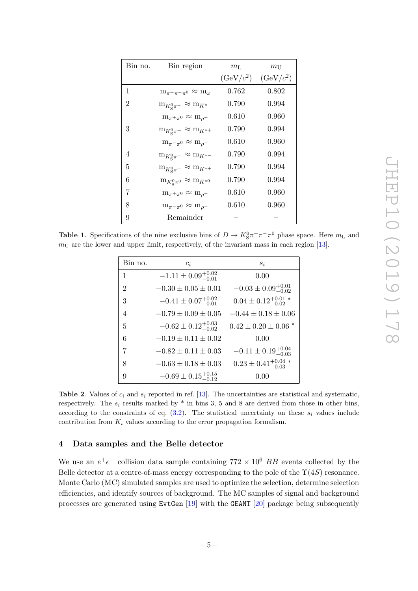| $m_{\rm L}$<br>$m_{\rm U}$ |  |
|----------------------------|--|
| $(GeV/c^2)$<br>$(GeV/c^2)$ |  |
| 0.762<br>0.802             |  |
| 0.790<br>0.994             |  |
| 0.960<br>0.610             |  |
| 0.790<br>0.994             |  |
| 0.960<br>0.610             |  |
| 0.790<br>0.994             |  |
| 0.790<br>0.994             |  |
| ${0.790}$<br>0.994         |  |
| 0.610<br>0.960             |  |
| $0.610\,$<br>0.960         |  |
|                            |  |
|                            |  |

<span id="page-8-1"></span>**Table 1.** Specifications of the nine exclusive bins of  $D \to K_S^0 \pi^+ \pi^- \pi^0$  phase space. Here  $m_L$  and  $m<sub>U</sub>$  are the lower and upper limit, respectively, of the invariant mass in each region [\[13\]](#page-29-3).

| Bin no.        | $c_i$                            | $s_i$                             |
|----------------|----------------------------------|-----------------------------------|
| $\mathbf{1}$   | $-1.11 \pm 0.09_{-0.01}^{+0.02}$ | 0.00                              |
| $\overline{2}$ | $-0.30 \pm 0.05 \pm 0.01$        | $-0.03 \pm 0.09_{-0.02}^{+0.01}$  |
| 3              | $-0.41 \pm 0.07^{+0.02}_{-0.01}$ | $0.04 \pm 0.12^{+0.01}_{-0.02}$   |
| 4              | $-0.79 \pm 0.09 \pm 0.05$        | $-0.44 \pm 0.18 \pm 0.06$         |
| 5              | $-0.62 \pm 0.12_{-0.02}^{+0.03}$ | $0.42 \pm 0.20 \pm 0.06$ *        |
| 6              | $-0.19 \pm 0.11 \pm 0.02$        | 0.00                              |
| 7              | $-0.82 \pm 0.11 \pm 0.03$        | $-0.11 \pm 0.19_{-0.03}^{+0.04}$  |
| 8              | $-0.63 \pm 0.18 \pm 0.03$        | $0.23 \pm 0.41^{+0.04}_{-0.03}$ * |
| 9              | $-0.69 \pm 0.15_{-0.12}^{+0.15}$ | 0.00                              |

<span id="page-8-2"></span>Table 2. Values of  $c_i$  and  $s_i$  reported in ref. [\[13\]](#page-29-3). The uncertainties are statistical and systematic, respectively. The  $s_i$  results marked by  $*$  in bins 3, 5 and 8 are derived from those in other bins, according to the constraints of eq.  $(3.2)$ . The statistical uncertainty on these  $s_i$  values include contribution from  $K_i$  values according to the error propagation formalism.

# <span id="page-8-0"></span>4 Data samples and the Belle detector

We use an  $e^+e^-$  collision data sample containing  $772 \times 10^6$   $B\overline{B}$  events collected by the Belle detector at a centre-of-mass energy corresponding to the pole of the  $\Upsilon(4S)$  resonance. Monte Carlo (MC) simulated samples are used to optimize the selection, determine selection efficiencies, and identify sources of background. The MC samples of signal and background processes are generated using  ${\text{EvtGen}}$  [\[19\]](#page-29-7) with the GEANT [\[20\]](#page-29-8) package being subsequently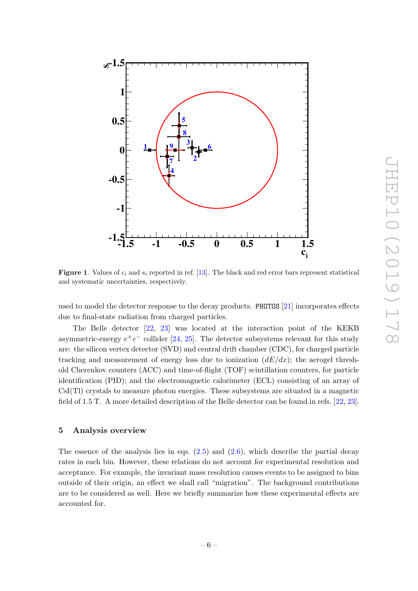

<span id="page-9-1"></span>Figure 1. Values of  $c_i$  and  $s_i$  reported in ref. [\[13\]](#page-29-3). The black and red error bars represent statistical and systematic uncertainties, respectively.

used to model the detector response to the decay products. PHOTOS [\[21\]](#page-29-9) incorporates effects due to final-state radiation from charged particles.

The Belle detector [\[22,](#page-29-10) [23\]](#page-29-11) was located at the interaction point of the KEKB asymmetric-energy  $e^+e^-$  collider [\[24,](#page-29-12) [25\]](#page-29-13). The detector subsystems relevant for this study are: the silicon vertex detector (SVD) and central drift chamber (CDC), for charged particle tracking and measurement of energy loss due to ionization  $(dE/dx)$ ; the aerogel threshold Cherenkov counters (ACC) and time-of-flight (TOF) scintillation counters, for particle identification (PID); and the electromagnetic calorimeter (ECL) consisting of an array of CsI(Tl) crystals to measure photon energies. These subsystems are situated in a magnetic field of 1.5 T. A more detailed description of the Belle detector can be found in refs. [\[22,](#page-29-10) [23\]](#page-29-11).

#### <span id="page-9-0"></span>5 Analysis overview

The essence of the analysis lies in eqs.  $(2.5)$  and  $(2.6)$ , which describe the partial decay rates in each bin. However, these relations do not account for experimental resolution and acceptance. For example, the invariant mass resolution causes events to be assigned to bins outside of their origin, an effect we shall call "migration". The background contributions are to be considered as well. Here we briefly summarize how these experimental effects are accounted for.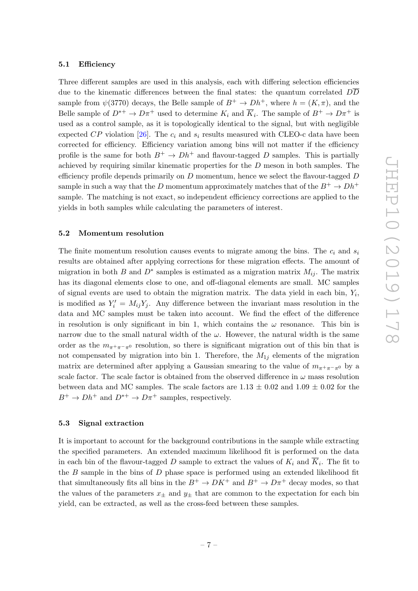#### <span id="page-10-0"></span>5.1 Efficiency

Three different samples are used in this analysis, each with differing selection efficiencies due to the kinematic differences between the final states: the quantum correlated DD sample from  $\psi(3770)$  decays, the Belle sample of  $B^+ \to Dh^+$ , where  $h = (K, \pi)$ , and the Belle sample of  $D^{*+} \to D\pi^+$  used to determine  $K_i$  and  $\overline{K}_i$ . The sample of  $B^+ \to D\pi^+$  is used as a control sample, as it is topologically identical to the signal, but with negligible expected CP violation [\[26\]](#page-29-14). The  $c_i$  and  $s_i$  results measured with CLEO-c data have been corrected for efficiency. Efficiency variation among bins will not matter if the efficiency profile is the same for both  $B^+ \to Dh^+$  and flavour-tagged D samples. This is partially achieved by requiring similar kinematic properties for the  $D$  meson in both samples. The efficiency profile depends primarily on  $D$  momentum, hence we select the flavour-tagged  $D$ sample in such a way that the D momentum approximately matches that of the  $B^+ \to Dh^+$ sample. The matching is not exact, so independent efficiency corrections are applied to the yields in both samples while calculating the parameters of interest.

#### <span id="page-10-1"></span>5.2 Momentum resolution

The finite momentum resolution causes events to migrate among the bins. The  $c_i$  and  $s_i$ results are obtained after applying corrections for these migration effects. The amount of migration in both B and  $D^*$  samples is estimated as a migration matrix  $M_{ij}$ . The matrix has its diagonal elements close to one, and off-diagonal elements are small. MC samples of signal events are used to obtain the migration matrix. The data yield in each bin,  $Y_i$ , is modified as  $Y_i' = M_{ij}Y_j$ . Any difference between the invariant mass resolution in the data and MC samples must be taken into account. We find the effect of the difference in resolution is only significant in bin 1, which contains the  $\omega$  resonance. This bin is narrow due to the small natural width of the  $\omega$ . However, the natural width is the same order as the  $m_{\pi^+\pi^-\pi^0}$  resolution, so there is significant migration out of this bin that is not compensated by migration into bin 1. Therefore, the  $M_{1j}$  elements of the migration matrix are determined after applying a Gaussian smearing to the value of  $m_{\pi+\pi-\pi^0}$  by a scale factor. The scale factor is obtained from the observed difference in  $\omega$  mass resolution between data and MC samples. The scale factors are  $1.13 \pm 0.02$  and  $1.09 \pm 0.02$  for the  $B^+ \to Dh^+$  and  $D^{*+} \to D\pi^+$  samples, respectively.

#### <span id="page-10-2"></span>5.3 Signal extraction

It is important to account for the background contributions in the sample while extracting the specified parameters. An extended maximum likelihood fit is performed on the data in each bin of the flavour-tagged D sample to extract the values of  $K_i$  and  $K_i$ . The fit to the  $B$  sample in the bins of  $D$  phase space is performed using an extended likelihood fit that simultaneously fits all bins in the  $B^+ \to D K^+$  and  $B^+ \to D \pi^+$  decay modes, so that the values of the parameters  $x_{\pm}$  and  $y_{\pm}$  that are common to the expectation for each bin yield, can be extracted, as well as the cross-feed between these samples.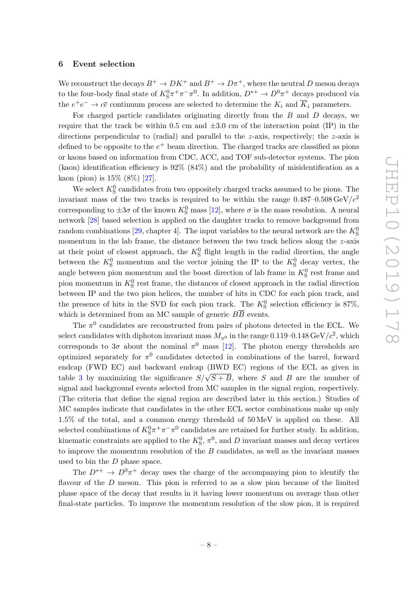#### <span id="page-11-0"></span>6 Event selection

We reconstruct the decays  $B^+ \to D K^+$  and  $B^+ \to D \pi^+$ , where the neutral D meson decays to the four-body final state of  $K_S^0 \pi^+ \pi^- \pi^0$ . In addition,  $D^{*+} \to D^0 \pi^+$  decays produced via the  $e^+e^- \to c\bar{c}$  continuum process are selected to determine the  $K_i$  and  $\overline{K}_i$  parameters.

For charged particle candidates originating directly from the  $B$  and  $D$  decays, we require that the track be within 0.5 cm and  $\pm 3.0$  cm of the interaction point (IP) in the directions perpendicular to (radial) and parallel to the z-axis, respectively; the z-axis is defined to be opposite to the  $e^+$  beam direction. The charged tracks are classified as pions or kaons based on information from CDC, ACC, and TOF sub-detector systems. The pion (kaon) identification efficiency is  $92\%$  (84%) and the probability of misidentification as a kaon (pion) is 15% (8%) [\[27\]](#page-29-15).

We select  $K^0_S$  candidates from two oppositely charged tracks assumed to be pions. The invariant mass of the two tracks is required to be within the range  $0.487{\text{-}}0.508\,\text{GeV}/c^2$ corresponding to  $\pm 3\sigma$  of the known  $K^0_S$  mass [\[12\]](#page-29-2), where  $\sigma$  is the mass resolution. A neural network [\[28\]](#page-29-16) based selection is applied on the daughter tracks to remove background from random combinations [\[29,](#page-30-0) chapter 4]. The input variables to the neural network are the  $K^0_S$ momentum in the lab frame, the distance between the two track helices along the z-axis at their point of closest approach, the  $K^0_S$  flight length in the radial direction, the angle between the  $K^0_S$  momentum and the vector joining the IP to the  $K^0_S$  decay vertex, the angle between pion momentum and the boost direction of lab frame in  $K^0_S$  rest frame and pion momentum in  $K^0_S$  rest frame, the distances of closest approach in the radial direction between IP and the two pion helices, the number of hits in CDC for each pion track, and the presence of hits in the SVD for each pion track. The  $K^0_S$  selection efficiency is 87%, which is determined from an MC sample of generic  $B\overline{B}$  events.

The  $\pi^0$  candidates are reconstructed from pairs of photons detected in the ECL. We select candidates with diphoton invariant mass  $M_{\pi^0}$  in the range 0.119–0.148 GeV/ $c^2$ , which corresponds to  $3\sigma$  about the nominal  $\pi^0$  mass [\[12\]](#page-29-2). The photon energy thresholds are optimized separately for  $\pi^0$  candidates detected in combinations of the barrel, forward endcap (FWD EC) and backward endcap (BWD EC) regions of the ECL as given in table [3](#page-12-0) by maximizing the significance  $S/\sqrt{S+B}$ , where S and B are the number of signal and background events selected from MC samples in the signal region, respectively. (The criteria that define the signal region are described later in this section.) Studies of MC samples indicate that candidates in the other ECL sector combinations make up only 1.5% of the total, and a common energy threshold of 50 MeV is applied on these. All selected combinations of  $K_S^0 \pi^+ \pi^- \pi^0$  candidates are retained for further study. In addition, kinematic constraints are applied to the  $K^0_S$ ,  $\pi^0$ , and D invariant masses and decay vertices to improve the momentum resolution of the B candidates, as well as the invariant masses used to bin the D phase space.

The  $D^{*+} \to D^0 \pi^+$  decay uses the charge of the accompanying pion to identify the flavour of the  $D$  meson. This pion is referred to as a slow pion because of the limited phase space of the decay that results in it having lower momentum on average than other final-state particles. To improve the momentum resolution of the slow pion, it is required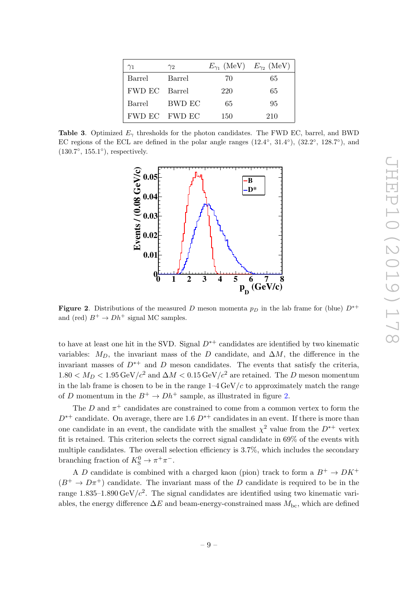| $\gamma_1$    | $\gamma_2$    |     | $E_{\gamma_1}$ (MeV) $E_{\gamma_2}$ (MeV) |
|---------------|---------------|-----|-------------------------------------------|
| Barrel        | Barrel        | 70  | 65                                        |
| FWD EC Barrel |               | 220 | 65                                        |
| Barrel        | – BWD EC      | 65  | 95                                        |
|               | FWD EC FWD EC | 150 | 210                                       |

<span id="page-12-0"></span>Table 3. Optimized  $E_{\gamma}$  thresholds for the photon candidates. The FWD EC, barrel, and BWD EC regions of the ECL are defined in the polar angle ranges  $(12.4\degree, 31.4\degree), (32.2\degree, 128.7\degree),$  and (130.7◦ , 155.1◦ ), respectively.



<span id="page-12-1"></span>**Figure 2.** Distributions of the measured D meson momenta  $p<sub>D</sub>$  in the lab frame for (blue)  $D^{*+}$ and (red)  $B^+ \to Dh^+$  signal MC samples.

to have at least one hit in the SVD. Signal  $D^{*+}$  candidates are identified by two kinematic variables:  $M_D$ , the invariant mass of the D candidate, and  $\Delta M$ , the difference in the invariant masses of  $D^{*+}$  and D meson candidates. The events that satisfy the criteria,  $1.80 < M_D < 1.95 \,\text{GeV}/c^2$  and  $\Delta M < 0.15 \,\text{GeV}/c^2$  are retained. The D meson momentum in the lab frame is chosen to be in the range  $1-4 \,\text{GeV}/c$  to approximately match the range of D momentum in the  $B^+ \to Dh^+$  sample, as illustrated in figure [2.](#page-12-1)

The  $D$  and  $\pi^+$  candidates are constrained to come from a common vertex to form the  $D^{*+}$  candidate. On average, there are 1.6  $D^{*+}$  candidates in an event. If there is more than one candidate in an event, the candidate with the smallest  $\chi^2$  value from the  $D^{*+}$  vertex fit is retained. This criterion selects the correct signal candidate in 69% of the events with multiple candidates. The overall selection efficiency is 3.7%, which includes the secondary branching fraction of  $K^0_S \to \pi^+ \pi^-$ .

A D candidate is combined with a charged kaon (pion) track to form a  $B^+ \to D K^+$  $(B^+ \to D\pi^+)$  candidate. The invariant mass of the D candidate is required to be in the range 1.835–1.890 GeV/ $c^2$ . The signal candidates are identified using two kinematic variables, the energy difference  $\Delta E$  and beam-energy-constrained mass  $M_{\text{bc}}$ , which are defined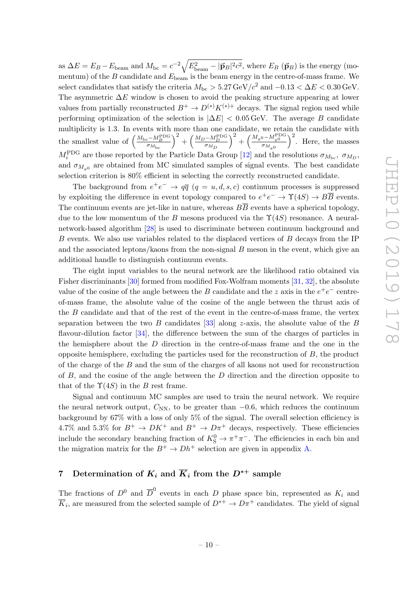as  $\Delta E = E_B - E_{\text{beam}}$  and  $M_{\text{bc}} = c^{-2} \sqrt{E_{\text{beam}}^2 - |\vec{p}_B|^2 c^2}$ , where  $E_B$  ( $\vec{p}_B$ ) is the energy (momentum) of the B candidate and  $E_{\text{beam}}$  is the beam energy in the centre-of-mass frame. We select candidates that satisfy the criteria  $M_{\rm bc} > 5.27 \,\mathrm{GeV}/c^2$  and  $-0.13 < \Delta E < 0.30 \,\mathrm{GeV}$ . The asymmetric  $\Delta E$  window is chosen to avoid the peaking structure appearing at lower values from partially reconstructed  $B^+ \to D^{(*)}K^{(*)+}$  decays. The signal region used while performing optimization of the selection is  $|\Delta E| < 0.05$  GeV. The average B candidate multiplicity is 1.3. In events with more than one candidate, we retain the candidate with the smallest value of  $\left(\frac{M_{\rm bc}-M_{B}^{\rm PDG}}{\sigma_{M_{\rm bc}}} \right)$  $\Big)^2 + \Big(\frac{M_D - M_D^{\rm PDG}}{\sigma_{M_D}}$  $\Big)^2+\Big(\frac{M_{\pi^0}-M_{\pi^0}^{\rm PDG}}{\sigma_{M_{\pi^0}}}$  $\int_{0}^{2}$ . Here, the masses  $M_i^{\text{PDG}}$  are those reported by the Particle Data Group [\[12\]](#page-29-2) and the resolutions  $\sigma_{M_{\text{bc}}}, \sigma_{M_D},$ and  $\sigma_{M_{\pi^0}}$  are obtained from MC simulated samples of signal events. The best candidate selection criterion is 80% efficient in selecting the correctly reconstructed candidate.

The background from  $e^+e^- \rightarrow q\bar{q}$   $(q = u, d, s, c)$  continuum processes is suppressed by exploiting the difference in event topology compared to  $e^+e^- \to \Upsilon(4S) \to B\overline{B}$  events. The continuum events are jet-like in nature, whereas  $B\overline{B}$  events have a spherical topology, due to the low momentum of the B mesons produced via the  $\Upsilon(4S)$  resonance. A neuralnetwork-based algorithm [\[28\]](#page-29-16) is used to discriminate between continuum background and B events. We also use variables related to the displaced vertices of B decays from the IP and the associated leptons/kaons from the non-signal  $B$  meson in the event, which give an additional handle to distinguish continuum events.

The eight input variables to the neural network are the likelihood ratio obtained via Fisher discriminants [\[30\]](#page-30-1) formed from modified Fox-Wolfram moments [\[31,](#page-30-2) [32\]](#page-30-3), the absolute value of the cosine of the angle between the B candidate and the z axis in the  $e^+e^-$  centreof-mass frame, the absolute value of the cosine of the angle between the thrust axis of the B candidate and that of the rest of the event in the centre-of-mass frame, the vertex separation between the two B candidates [\[33\]](#page-30-4) along z-axis, the absolute value of the B flavour-dilution factor [\[34\]](#page-30-5), the difference between the sum of the charges of particles in the hemisphere about the  $D$  direction in the centre-of-mass frame and the one in the opposite hemisphere, excluding the particles used for the reconstruction of  $B$ , the product of the charge of the B and the sum of the charges of all kaons not used for reconstruction of  $B$ , and the cosine of the angle between the  $D$  direction and the direction opposite to that of the  $\Upsilon(4S)$  in the B rest frame.

Signal and continuum MC samples are used to train the neural network. We require the neural network output,  $C_{NN}$ , to be greater than  $-0.6$ , which reduces the continuum background by 67% with a loss of only 5% of the signal. The overall selection efficiency is 4.7% and 5.3% for  $B^+ \to D K^+$  and  $B^+ \to D \pi^+$  decays, respectively. These efficiencies include the secondary branching fraction of  $K_S^0 \to \pi^+\pi^-$ . The efficiencies in each bin and the migration matrix for the  $B^+ \to Dh^+$  selection are given in appendix [A.](#page-27-0)

# <span id="page-13-0"></span>7 Determination of  $K_i$  and  $\overline{K}_i$  from the  $D^{*+}$  sample

The fractions of  $D^0$  and  $\overline{D}^0$  events in each D phase space bin, represented as  $K_i$  and  $\overline{K}_i$ , are measured from the selected sample of  $D^{*+} \to D\pi^+$  candidates. The yield of signal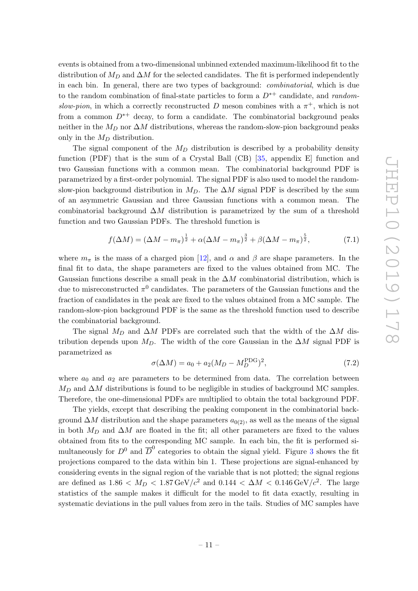events is obtained from a two-dimensional unbinned extended maximum-likelihood fit to the distribution of  $M_D$  and  $\Delta M$  for the selected candidates. The fit is performed independently in each bin. In general, there are two types of background: combinatorial, which is due to the random combination of final-state particles to form a  $D^{*+}$  candidate, and randomslow-pion, in which a correctly reconstructed D meson combines with a  $\pi^+$ , which is not from a common  $D^{*+}$  decay, to form a candidate. The combinatorial background peaks neither in the  $M_D$  nor  $\Delta M$  distributions, whereas the random-slow-pion background peaks only in the  $M_D$  distribution.

The signal component of the  $M_D$  distribution is described by a probability density function (PDF) that is the sum of a Crystal Ball (CB) [\[35,](#page-30-6) appendix E] function and two Gaussian functions with a common mean. The combinatorial background PDF is parametrized by a first-order polynomial. The signal PDF is also used to model the randomslow-pion background distribution in  $M_D$ . The  $\Delta M$  signal PDF is described by the sum of an asymmetric Gaussian and three Gaussian functions with a common mean. The combinatorial background  $\Delta M$  distribution is parametrized by the sum of a threshold function and two Gaussian PDFs. The threshold function is

$$
f(\Delta M) = (\Delta M - m_{\pi})^{\frac{1}{2}} + \alpha(\Delta M - m_{\pi})^{\frac{3}{2}} + \beta(\Delta M - m_{\pi})^{\frac{5}{2}},
$$
(7.1)

where  $m_{\pi}$  is the mass of a charged pion [\[12\]](#page-29-2), and  $\alpha$  and  $\beta$  are shape parameters. In the final fit to data, the shape parameters are fixed to the values obtained from MC. The Gaussian functions describe a small peak in the  $\Delta M$  combinatorial distribution, which is due to misreconstructed  $\pi^0$  candidates. The parameters of the Gaussian functions and the fraction of candidates in the peak are fixed to the values obtained from a MC sample. The random-slow-pion background PDF is the same as the threshold function used to describe the combinatorial background.

The signal  $M_D$  and  $\Delta M$  PDFs are correlated such that the width of the  $\Delta M$  distribution depends upon  $M_D$ . The width of the core Gaussian in the  $\Delta M$  signal PDF is parametrized as  $222$ 

$$
\sigma(\Delta M) = a_0 + a_2(M_D - M_D^{\rm PDG})^2, \tag{7.2}
$$

where  $a_0$  and  $a_2$  are parameters to be determined from data. The correlation between  $M_D$  and  $\Delta M$  distributions is found to be negligible in studies of background MC samples. Therefore, the one-dimensional PDFs are multiplied to obtain the total background PDF.

The yields, except that describing the peaking component in the combinatorial background  $\Delta M$  distribution and the shape parameters  $a_{0(2)}$ , as well as the means of the signal in both  $M_D$  and  $\Delta M$  are floated in the fit; all other parameters are fixed to the values obtained from fits to the corresponding MC sample. In each bin, the fit is performed simultaneously for  $D^0$  and  $\overline{D}^0$  categories to obtain the signal yield. Figure [3](#page-15-0) shows the fit projections compared to the data within bin 1. These projections are signal-enhanced by considering events in the signal region of the variable that is not plotted; the signal regions are defined as  $1.86 < M_D < 1.87 \,\text{GeV}/c^2$  and  $0.144 < \Delta M < 0.146 \,\text{GeV}/c^2$ . The large statistics of the sample makes it difficult for the model to fit data exactly, resulting in systematic deviations in the pull values from zero in the tails. Studies of MC samples have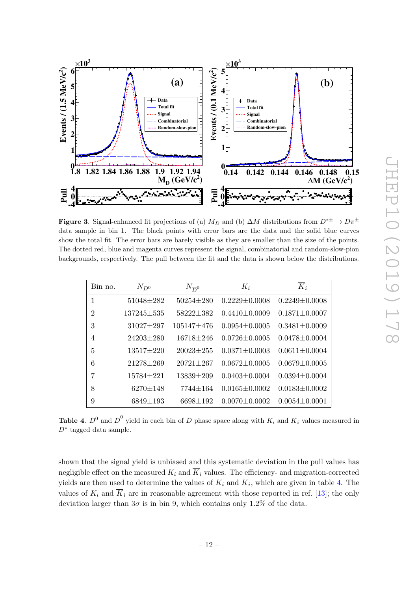

<span id="page-15-0"></span>**Figure 3.** Signal-enhanced fit projections of (a)  $M_D$  and (b)  $\Delta M$  distributions from  $D^{*\pm} \to D\pi^{\pm}$ data sample in bin 1. The black points with error bars are the data and the solid blue curves show the total fit. The error bars are barely visible as they are smaller than the size of the points. The dotted red, blue and magenta curves represent the signal, combinatorial and random-slow-pion backgrounds, respectively. The pull between the fit and the data is shown below the distributions.

| Bin no.        | $N_{D^0}$        | $N_{\overline{D}^0}$ | $K_i$               | $\overline{K}_i$    |
|----------------|------------------|----------------------|---------------------|---------------------|
| 1              | $51048 \pm 282$  | $50254 \pm 280$      | $0.2229 \pm 0.0008$ | $0.2249 \pm 0.0008$ |
| $\overline{2}$ | $137245 \pm 535$ | 58222±382            | $0.4410 \pm 0.0009$ | $0.1871 \pm 0.0007$ |
| 3              | $31027 \pm 297$  | $105147 \pm 476$     | $0.0954 \pm 0.0005$ | $0.3481 \pm 0.0009$ |
| 4              | $24203 \pm 280$  | $16718 \pm 246$      | $0.0726 \pm 0.0005$ | $0.0478 \pm 0.0004$ |
| 5              | 13517±220        | $20023 \pm 255$      | $0.0371 \pm 0.0003$ | $0.0611 \pm 0.0004$ |
| 6              | $21278 \pm 269$  | $20721 \pm 267$      | $0.0672 \pm 0.0005$ | $0.0679 \pm 0.0005$ |
| 7              | $15784 + 221$    | 13839±209            | $0.0403 \pm 0.0004$ | $0.0394 \pm 0.0004$ |
| 8              | $6270 \pm 148$   | $7744 \pm 164$       | $0.0165 \pm 0.0002$ | $0.0183 \pm 0.0002$ |
| 9              | $6849 \pm 193$   | $6698 \pm 192$       | $0.0070 \pm 0.0002$ | $0.0054 \pm 0.0001$ |

<span id="page-15-1"></span>**Table 4.**  $D^0$  and  $\overline{D}^0$  yield in each bin of D phase space along with  $K_i$  and  $\overline{K}_i$  values measured in D<sup>∗</sup> tagged data sample.

shown that the signal yield is unbiased and this systematic deviation in the pull values has negligible effect on the measured  $K_i$  and  $\overline{K}_i$  values. The efficiency- and migration-corrected yields are then used to determine the values of  $K_i$  and  $K_i$ , which are given in table [4.](#page-15-1) The values of  $K_i$  and  $\overline{K}_i$  are in reasonable agreement with those reported in ref. [\[13\]](#page-29-3); the only deviation larger than  $3\sigma$  is in bin 9, which contains only 1.2% of the data.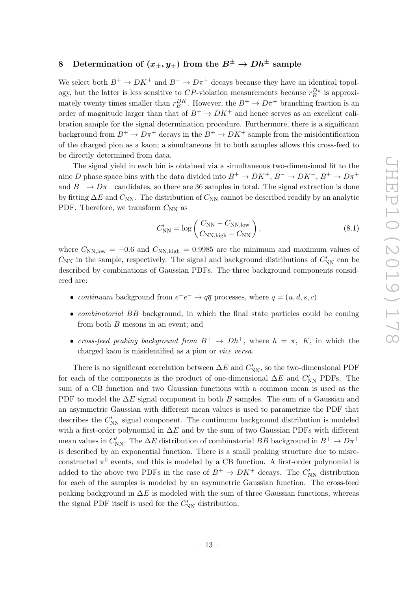# <span id="page-16-0"></span>8 Determination of  $(x_{\pm}, y_{\pm})$  from the  $B^{\pm} \to Dh^{\pm}$  sample

We select both  $B^+ \to D K^+$  and  $B^+ \to D \pi^+$  decays because they have an identical topology, but the latter is less sensitive to CP-violation measurements because  $r_B^{D\pi}$  is approximately twenty times smaller than  $r_B^{DK}$ . However, the  $B^+ \to D\pi^+$  branching fraction is an order of magnitude larger than that of  $B^+ \to D K^+$  and hence serves as an excellent calibration sample for the signal determination procedure. Furthermore, there is a significant background from  $B^+ \to D\pi^+$  decays in the  $B^+ \to D K^+$  sample from the misidentification of the charged pion as a kaon; a simultaneous fit to both samples allows this cross-feed to be directly determined from data.

The signal yield in each bin is obtained via a simultaneous two-dimensional fit to the nine D phase space bins with the data divided into  $B^+ \to D K^+$ ,  $B^- \to D K^-$ ,  $B^+ \to D \pi^+$ and  $B^- \to D\pi^-$  candidates, so there are 36 samples in total. The signal extraction is done by fitting  $\Delta E$  and  $C_{NN}$ . The distribution of  $C_{NN}$  cannot be described readily by an analytic PDF. Therefore, we transform  $C_{NN}$  as

$$
C'_{\rm NN} = \log\left(\frac{C_{\rm NN} - C_{\rm NN, low}}{C_{\rm NN, high} - C_{\rm NN}}\right),\tag{8.1}
$$

where  $C_{NN,low} = -0.6$  and  $C_{NN,high} = 0.9985$  are the minimum and maximum values of  $C_{NN}$  in the sample, respectively. The signal and background distributions of  $C'_{NN}$  can be described by combinations of Gaussian PDFs. The three background components considered are:

- continuum background from  $e^+e^- \rightarrow q\bar{q}$  processes, where  $q = (u, d, s, c)$
- *combinatorial*  $B\overline{B}$  background, in which the final state particles could be coming from both  $B$  mesons in an event; and
- cross-feed peaking background from  $B^+ \to Dh^+$ , where  $h = \pi$ , K, in which the charged kaon is misidentified as a pion or vice versa.

There is no significant correlation between  $\Delta E$  and  $C'_{\rm NN}$ , so the two-dimensional PDF for each of the components is the product of one-dimensional  $\Delta E$  and  $C'_{NN}$  PDFs. The sum of a CB function and two Gaussian functions with a common mean is used as the PDF to model the  $\Delta E$  signal component in both B samples. The sum of a Gaussian and an asymmetric Gaussian with different mean values is used to parametrize the PDF that describes the  $C'_{NN}$  signal component. The continuum background distribution is modeled with a first-order polynomial in  $\Delta E$  and by the sum of two Gaussian PDFs with different mean values in  $C'_{NN}$ . The  $\Delta E$  distribution of combinatorial  $B\overline{B}$  background in  $B^+ \to D\pi^+$ is described by an exponential function. There is a small peaking structure due to misreconstructed  $\pi^0$  events, and this is modeled by a CB function. A first-order polynomial is added to the above two PDFs in the case of  $B^+ \to D K^+$  decays. The  $C'_{NN}$  distribution for each of the samples is modeled by an asymmetric Gaussian function. The cross-feed peaking background in  $\Delta E$  is modeled with the sum of three Gaussian functions, whereas the signal PDF itself is used for the  $C'_{NN}$  distribution.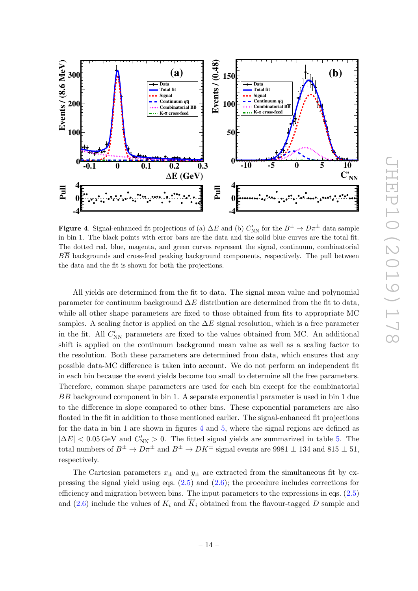

<span id="page-17-0"></span>**Figure 4.** Signal-enhanced fit projections of (a)  $\Delta E$  and (b)  $C'_{NN}$  for the  $B^{\pm} \to D\pi^{\pm}$  data sample in bin 1. The black points with error bars are the data and the solid blue curves are the total fit. The dotted red, blue, magenta, and green curves represent the signal, continuum, combinatorial  $B\overline{B}$  backgrounds and cross-feed peaking background components, respectively. The pull between the data and the fit is shown for both the projections.

All yields are determined from the fit to data. The signal mean value and polynomial parameter for continuum background  $\Delta E$  distribution are determined from the fit to data, while all other shape parameters are fixed to those obtained from fits to appropriate MC samples. A scaling factor is applied on the  $\Delta E$  signal resolution, which is a free parameter in the fit. All  $C'_{NN}$  parameters are fixed to the values obtained from MC. An additional shift is applied on the continuum background mean value as well as a scaling factor to the resolution. Both these parameters are determined from data, which ensures that any possible data-MC difference is taken into account. We do not perform an independent fit in each bin because the event yields become too small to determine all the free parameters. Therefore, common shape parameters are used for each bin except for the combinatorial  $B\overline{B}$  background component in bin 1. A separate exponential parameter is used in bin 1 due to the difference in slope compared to other bins. These exponential parameters are also floated in the fit in addition to those mentioned earlier. The signal-enhanced fit projections for the data in bin 1 are shown in figures [4](#page-17-0) and [5,](#page-18-0) where the signal regions are defined as  $|\Delta E|$  < 0.05 GeV and  $C'_{NN} > 0$ . The fitted signal yields are summarized in table [5.](#page-18-1) The total numbers of  $B^{\pm} \to D\pi^{\pm}$  and  $B^{\pm} \to D K^{\pm}$  signal events are 9981  $\pm$  134 and 815  $\pm$  51, respectively.

The Cartesian parameters  $x_{\pm}$  and  $y_{\pm}$  are extracted from the simultaneous fit by expressing the signal yield using eqs.  $(2.5)$  and  $(2.6)$ ; the procedure includes corrections for efficiency and migration between bins. The input parameters to the expressions in eqs. [\(2.5\)](#page-6-1) and [\(2.6\)](#page-6-2) include the values of  $K_i$  and  $\overline{K}_i$  obtained from the flavour-tagged D sample and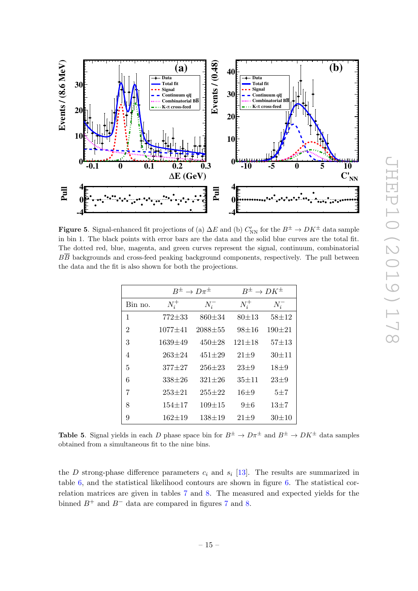

<span id="page-18-0"></span>**Figure 5.** Signal-enhanced fit projections of (a)  $\Delta E$  and (b)  $C'_{NN}$  for the  $B^{\pm} \to D K^{\pm}$  data sample in bin 1. The black points with error bars are the data and the solid blue curves are the total fit. The dotted red, blue, magenta, and green curves represent the signal, continuum, combinatorial  $B\overline{B}$  backgrounds and cross-feed peaking background components, respectively. The pull between the data and the fit is also shown for both the projections.

|                | $B^{\pm} \to D\pi^{\pm}$ |              | $B^{\pm} \to D K^{\pm}$ |            |
|----------------|--------------------------|--------------|-------------------------|------------|
| Bin no.        | $N_i^+$                  | $N_i^-$      | $N_i^+$                 | $N_i^-$    |
| 1              | $772 + 33$               | $860 \pm 34$ | $80 + 13$               | $58 + 12$  |
| $\overline{2}$ | $1077 + 41$              | $2088 + 55$  | $98 + 16$               | $190 + 21$ |
| 3              | $1639 \pm 49$            | $450 + 28$   | $121 \pm 18$            | $57 + 13$  |
| 4              | $263 \pm 24$             | $451 \pm 29$ | $21 + 9$                | $30 + 11$  |
| 5              | $377 + 27$               | $256 + 23$   | $23 + 9$                | $18\pm9$   |
| 6              | $338 + 26$               | $321 \pm 26$ | $35 + 11$               | $23 + 9$   |
| 7              | $253 + 21$               | $255 + 22$   | $16\pm9$                | $5 + 7$    |
| 8              | $154 + 17$               | $109 + 15$   | $9 \pm 6$               | $13 + 7$   |
| 9              | 162±19                   | $138 + 19$   | $21 + 9$                | $30 + 10$  |

<span id="page-18-1"></span>**Table 5.** Signal yields in each D phase space bin for  $B^{\pm} \to D\pi^{\pm}$  and  $B^{\pm} \to DK^{\pm}$  data samples obtained from a simultaneous fit to the nine bins.

the D strong-phase difference parameters  $c_i$  and  $s_i$  [\[13\]](#page-29-3). The results are summarized in table [6,](#page-19-0) and the statistical likelihood contours are shown in figure [6.](#page-19-1) The statistical correlation matrices are given in tables [7](#page-19-2) and [8.](#page-21-1) The measured and expected yields for the binned  $B^+$  and  $B^-$  data are compared in figures [7](#page-20-0) and [8.](#page-20-1)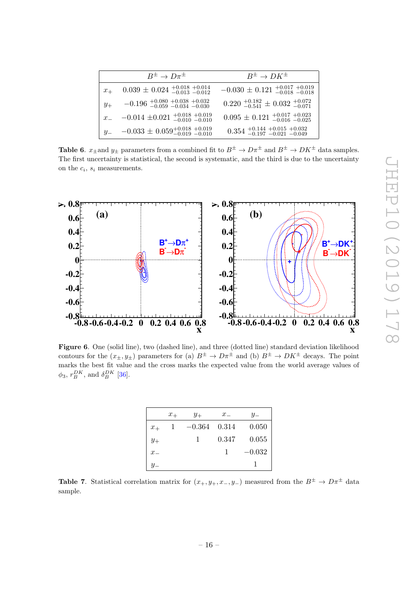|         | $B^{\pm} \to D\pi^{\pm}$                                                                  | $B^{\pm} \rightarrow D K^{\pm}$                                        |
|---------|-------------------------------------------------------------------------------------------|------------------------------------------------------------------------|
| $x_{+}$ | $0.039 \pm 0.024$ $^{+0.018}_{-0.013}$ $^{+0.014}_{-0.012}$                               | $-0.030 \pm 0.121_{ -0.018}^{ +0.017}$ +0.019                          |
| $y_+$   | $-0.196_{\frac{-0.059}{-0.059}}_{\frac{-0.059}{-0.034}}$ $-0.034_{\frac{-0.030}{-0.030}}$ | $0.220_{-0.541}^{+0.182} \pm 0.032_{-0.071}^{+0.072}$                  |
| $x_{-}$ | $-0.014 \pm 0.021_{-0.010}^{+0.018}$ +0.019                                               | $0.095 \pm 0.121_{\,-0.016\,-0.025}^{\,+0.017\,+0.023}$                |
|         | $y_{-}$ $-0.033 \pm 0.059_{-0.019}^{+0.018}$ $_{-0.019}^{+0.019}$                         | $0.354$ $_{-0.197}^{+0.144}$ $_{-0.021}^{+0.015}$ $_{-0.049}^{+0.032}$ |

<span id="page-19-0"></span>**Table 6.**  $x_{\pm}$  and  $y_{\pm}$  parameters from a combined fit to  $B^{\pm} \to D\pi^{\pm}$  and  $B^{\pm} \to DK^{\pm}$  data samples. The first uncertainty is statistical, the second is systematic, and the third is due to the uncertainty on the  $c_i$ ,  $s_i$  measurements.



<span id="page-19-1"></span>Figure 6. One (solid line), two (dashed line), and three (dotted line) standard deviation likelihood contours for the  $(x_{\pm}, y_{\pm})$  parameters for (a)  $B^{\pm} \to D\pi^{\pm}$  and (b)  $B^{\pm} \to D K^{\pm}$  decays. The point marks the best fit value and the cross marks the expected value from the world average values of  $\phi_3$ ,  $r_B^{DK}$ , and  $\delta_B^{DK}$  [\[36\]](#page-30-7).

|         | $x_{+}$ | $y_+$    | $x_{-}$ | $y_-$    |
|---------|---------|----------|---------|----------|
| $x_{+}$ |         | $-0.364$ | 0.314   | 0.050    |
| $y_+$   |         | 1        | 0.347   | 0.055    |
| $x_{-}$ |         |          | 1       | $-0.032$ |
|         |         |          |         |          |

<span id="page-19-2"></span>**Table 7.** Statistical correlation matrix for  $(x_+, y_+, x_-, y_-)$  measured from the  $B^{\pm} \to D\pi^{\pm}$  data sample.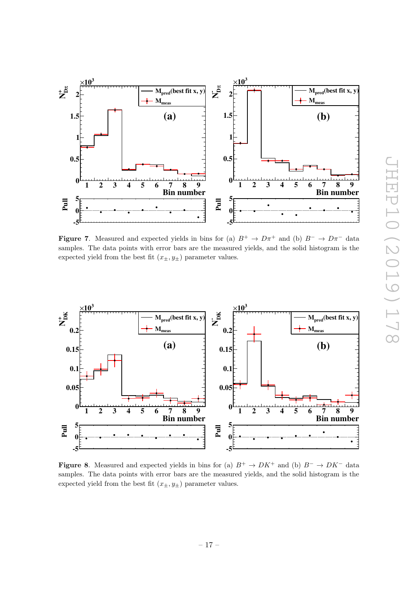

<span id="page-20-0"></span>**Figure 7.** Measured and expected yields in bins for (a)  $B^+ \to D\pi^+$  and (b)  $B^- \to D\pi^-$  data samples. The data points with error bars are the measured yields, and the solid histogram is the expected yield from the best fit  $(x_{\pm}, y_{\pm})$  parameter values.



<span id="page-20-1"></span>Figure 8. Measured and expected yields in bins for (a)  $B^+ \to D K^+$  and (b)  $B^- \to D K^-$  data samples. The data points with error bars are the measured yields, and the solid histogram is the expected yield from the best fit  $(x_{\pm}, y_{\pm})$  parameter values.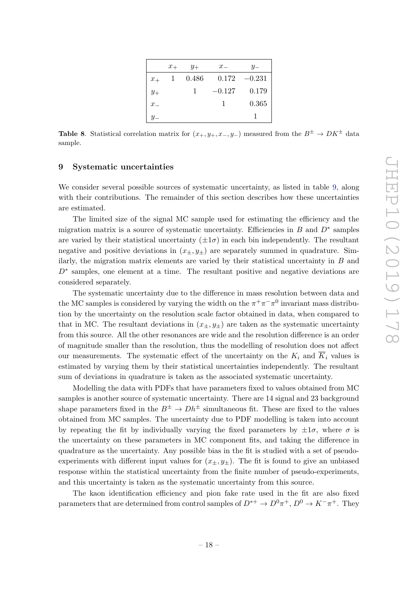|         | $x_{+}$ | $y_+$ | $x_-$    |          |
|---------|---------|-------|----------|----------|
| $x_{+}$ |         | 0.486 | 0.172    | $-0.231$ |
| $y_+$   |         | 1     | $-0.127$ | 0.179    |
| $x_{-}$ |         |       |          | 0.365    |
|         |         |       |          |          |

<span id="page-21-1"></span>**Table 8.** Statistical correlation matrix for  $(x_+, y_+, x_-, y_-)$  measured from the  $B^{\pm} \to D K^{\pm}$  data sample.

#### <span id="page-21-0"></span>9 Systematic uncertainties

We consider several possible sources of systematic uncertainty, as listed in table [9,](#page-22-1) along with their contributions. The remainder of this section describes how these uncertainties are estimated.

The limited size of the signal MC sample used for estimating the efficiency and the migration matrix is a source of systematic uncertainty. Efficiencies in  $B$  and  $D^*$  samples are varied by their statistical uncertainty  $(\pm 1\sigma)$  in each bin independently. The resultant negative and positive deviations in  $(x_{\pm}, y_{\pm})$  are separately summed in quadrature. Similarly, the migration matrix elements are varied by their statistical uncertainty in  $B$  and D<sup>∗</sup> samples, one element at a time. The resultant positive and negative deviations are considered separately.

The systematic uncertainty due to the difference in mass resolution between data and the MC samples is considered by varying the width on the  $\pi^+\pi^-\pi^0$  invariant mass distribution by the uncertainty on the resolution scale factor obtained in data, when compared to that in MC. The resultant deviations in  $(x_{\pm}, y_{\pm})$  are taken as the systematic uncertainty from this source. All the other resonances are wide and the resolution difference is an order of magnitude smaller than the resolution, thus the modelling of resolution does not affect our measurements. The systematic effect of the uncertainty on the  $K_i$  and  $\overline{K}_i$  values is estimated by varying them by their statistical uncertainties independently. The resultant sum of deviations in quadrature is taken as the associated systematic uncertainty.

Modelling the data with PDFs that have parameters fixed to values obtained from MC samples is another source of systematic uncertainty. There are 14 signal and 23 background shape parameters fixed in the  $B^{\pm} \to Dh^{\pm}$  simultaneous fit. These are fixed to the values obtained from MC samples. The uncertainty due to PDF modelling is taken into account by repeating the fit by individually varying the fixed parameters by  $\pm 1\sigma$ , where  $\sigma$  is the uncertainty on these parameters in MC component fits, and taking the difference in quadrature as the uncertainty. Any possible bias in the fit is studied with a set of pseudoexperiments with different input values for  $(x_{\pm}, y_{\pm})$ . The fit is found to give an unbiased response within the statistical uncertainty from the finite number of pseudo-experiments, and this uncertainty is taken as the systematic uncertainty from this source.

The kaon identification efficiency and pion fake rate used in the fit are also fixed parameters that are determined from control samples of  $D^{*+} \to D^0 \pi^+$ ,  $D^0 \to K^- \pi^+$ . They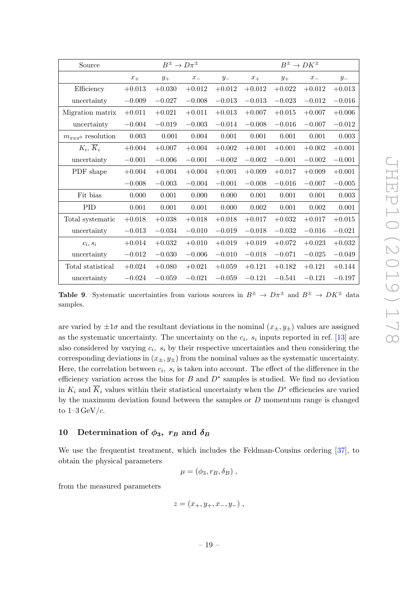| Source                                  | $B^{\pm} \to D\pi^{\pm}$<br>$B^{\pm} \to D K^{\pm}$ |          |          |          |          |          |                    |          |
|-----------------------------------------|-----------------------------------------------------|----------|----------|----------|----------|----------|--------------------|----------|
|                                         | $x_{+}$                                             | $y_+$    | $x_{-}$  | $y_{-}$  | $x_{+}$  | $y_+$    | $\boldsymbol{x}_-$ | $y_{-}$  |
| Efficiency                              | $+0.013$                                            | $+0.030$ | $+0.012$ | $+0.012$ | $+0.012$ | $+0.022$ | $+0.012$           | $+0.013$ |
| uncertainty                             | $-0.009$                                            | $-0.027$ | $-0.008$ | $-0.013$ | $-0.013$ | $-0.023$ | $-0.012$           | $-0.016$ |
| Migration matrix                        | $+0.011$                                            | $+0.021$ | $+0.011$ | $+0.013$ | $+0.007$ | $+0.015$ | $+0.007$           | $+0.006$ |
| uncertainty                             | $-0.004$                                            | $-0.019$ | $-0.003$ | $-0.014$ | $-0.008$ | $-0.016$ | $-0.007$           | $-0.012$ |
| $m_{\pi\pi\pi}$ <sup>0</sup> resolution | 0.003                                               | 0.001    | 0.004    | 0.001    | 0.001    | 0.001    | 0.001              | 0.003    |
| $K_i, K_i$                              | $+0.004$                                            | $+0.007$ | $+0.004$ | $+0.002$ | $+0.001$ | $+0.001$ | $+0.002$           | $+0.001$ |
| uncertainty                             | $-0.001$                                            | $-0.006$ | $-0.001$ | $-0.002$ | $-0.002$ | $-0.001$ | $-0.002$           | $-0.001$ |
| PDF shape                               | $+0.004$                                            | $+0.004$ | $+0.004$ | $+0.001$ | $+0.009$ | $+0.017$ | $+0.009$           | $+0.001$ |
|                                         | $-0.008$                                            | $-0.003$ | $-0.004$ | $-0.001$ | $-0.008$ | $-0.016$ | $-0.007$           | $-0.005$ |
| Fit bias                                | 0.000                                               | 0.001    | 0.000    | 0.000    | 0.001    | 0.001    | 0.001              | 0.003    |
| <b>PID</b>                              | 0.001                                               | 0.001    | 0.001    | 0.000    | 0.002    | 0.001    | 0.002              | 0.001    |
| Total systematic                        | $+0.018$                                            | $+0.038$ | $+0.018$ | $+0.018$ | $+0.017$ | $+0.032$ | $+0.017$           | $+0.015$ |
| uncertainty                             | $-0.013$                                            | $-0.034$ | $-0.010$ | $-0.019$ | $-0.018$ | $-0.032$ | $-0.016$           | $-0.021$ |
| $c_i, s_i$                              | $+0.014$                                            | $+0.032$ | $+0.010$ | $+0.019$ | $+0.019$ | $+0.072$ | $+0.023$           | $+0.032$ |
| uncertainty                             | $-0.012$                                            | $-0.030$ | $-0.006$ | $-0.010$ | $-0.018$ | $-0.071$ | $-0.025$           | $-0.049$ |
| Total statistical                       | $+0.024$                                            | $+0.080$ | $+0.021$ | $+0.059$ | $+0.121$ | $+0.182$ | $+0.121$           | $+0.144$ |
| uncertainty                             | $-0.024$                                            | $-0.059$ | $-0.021$ | $-0.059$ | $-0.121$ | $-0.541$ | $-0.121$           | $-0.197$ |

<span id="page-22-1"></span>**Table 9.** Systematic uncertainties from various sources in  $B^{\pm} \to D\pi^{\pm}$  and  $B^{\pm} \to D K^{\pm}$  data samples.

are varied by  $\pm 1\sigma$  and the resultant deviations in the nominal  $(x_{\pm}, y_{\pm})$  values are assigned as the systematic uncertainty. The uncertainty on the  $c_i$ ,  $s_i$  inputs reported in ref. [\[13\]](#page-29-3) are also considered by varying  $c_i$ ,  $s_i$  by their respective uncertainties and then considering the corresponding deviations in  $(x_{\pm}, y_{\pm})$  from the nominal values as the systematic uncertainty. Here, the correlation between  $c_i$ ,  $s_i$  is taken into account. The effect of the difference in the efficiency variation across the bins for  $B$  and  $D^*$  samples is studied. We find no deviation in  $K_i$  and  $\overline{K}_i$  values within their statistical uncertainty when the  $D^*$  efficiencies are varied by the maximum deviation found between the samples or  $D$  momentum range is changed to  $1-3 \text{ GeV}/c$ .

# <span id="page-22-0"></span>10 Determination of  $\phi_3$ ,  $r_B$  and  $\delta_B$

We use the frequentist treatment, which includes the Feldman-Cousins ordering [\[37\]](#page-30-8), to obtain the physical parameters

$$
\mu = (\phi_3, r_B, \delta_B) ,
$$

from the measured parameters

$$
z = (x_+, y_+, x_-, y_-) ,
$$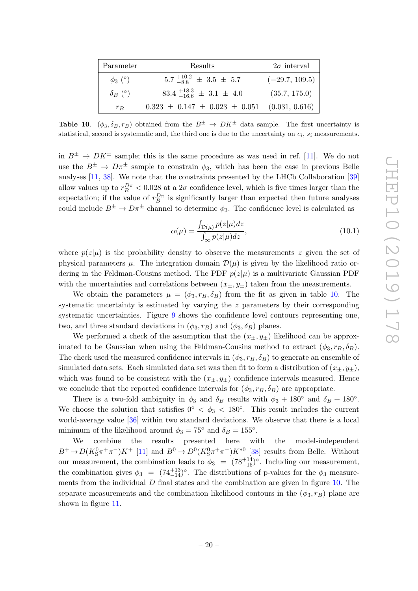| Parameter      | Results                                     | $2\sigma$ interval |
|----------------|---------------------------------------------|--------------------|
| $\phi_3$ (°)   | $5.7\frac{+10.2}{-8.8}$ $\pm$ 3.5 $\pm$ 5.7 | $(-29.7, 109.5)$   |
| $\delta_B$ (°) | $83.4_{-16.6}^{+18.3} \pm 3.1 \pm 4.0$      | (35.7, 175.0)      |
| $r_B$          | $0.323 \pm 0.147 \pm 0.023 \pm 0.051$       | (0.031, 0.616)     |

<span id="page-23-0"></span>**Table 10.**  $(\phi_3, \delta_B, r_B)$  obtained from the  $B^{\pm} \rightarrow DK^{\pm}$  data sample. The first uncertainty is statistical, second is systematic and, the third one is due to the uncertainty on  $c_i$ ,  $s_i$  measurements.

in  $B^{\pm} \to D K^{\pm}$  sample; this is the same procedure as was used in ref. [\[11\]](#page-29-1). We do not use the  $B^{\pm} \to D\pi^{\pm}$  sample to constrain  $\phi_3$ , which has been the case in previous Belle analyses [\[11,](#page-29-1) [38\]](#page-30-9). We note that the constraints presented by the LHCb Collaboration [\[39\]](#page-30-10) allow values up to  $r_B^{D\pi} < 0.028$  at a  $2\sigma$  confidence level, which is five times larger than the expectation; if the value of  $r_B^{D\pi}$  is significantly larger than expected then future analyses could include  $B^{\pm} \to D\pi^{\pm}$  channel to determine  $\phi_3$ . The confidence level is calculated as

$$
\alpha(\mu) = \frac{\int_{\mathcal{D}(\mu)} p(z|\mu) dz}{\int_{\infty} p(z|\mu) dz},
$$
\n(10.1)

where  $p(z|\mu)$  is the probability density to observe the measurements z given the set of physical parameters  $\mu$ . The integration domain  $\mathcal{D}(\mu)$  is given by the likelihood ratio ordering in the Feldman-Cousins method. The PDF  $p(z|\mu)$  is a multivariate Gaussian PDF with the uncertainties and correlations between  $(x_{\pm}, y_{\pm})$  taken from the measurements.

We obtain the parameters  $\mu = (\phi_3, r_B, \delta_B)$  from the fit as given in table [10.](#page-23-0) The systematic uncertainty is estimated by varying the  $z$  parameters by their corresponding systematic uncertainties. Figure [9](#page-24-0) shows the confidence level contours representing one, two, and three standard deviations in  $(\phi_3, r_B)$  and  $(\phi_3, \delta_B)$  planes.

We performed a check of the assumption that the  $(x_+, y_+)$  likelihood can be approximated to be Gaussian when using the Feldman-Cousins method to extract  $(\phi_3, r_B, \delta_B)$ . The check used the measured confidence intervals in  $(\phi_3, r_B, \delta_B)$  to generate an ensemble of simulated data sets. Each simulated data set was then fit to form a distribution of  $(x_{\pm}, y_{\pm}),$ which was found to be consistent with the  $(x_{\pm}, y_{\pm})$  confidence intervals measured. Hence we conclude that the reported confidence intervals for  $(\phi_3, r_B, \delta_B)$  are appropriate.

There is a two-fold ambiguity in  $\phi_3$  and  $\delta_B$  results with  $\phi_3 + 180^\circ$  and  $\delta_B + 180^\circ$ . We choose the solution that satisfies  $0° < \phi_3 < 180°$ . This result includes the current world-average value [\[36\]](#page-30-7) within two standard deviations. We observe that there is a local minimum of the likelihood around  $\phi_3 = 75^\circ$  and  $\delta_B = 155^\circ$ .

We combine the results presented here with the model-independent  $B^+\to D(K_S^0\pi^+\pi^-)K^+$  [\[11\]](#page-29-1) and  $B^0\to D^0(K_S^0\pi^+\pi^-)K^{*0}$  [\[38\]](#page-30-9) results from Belle. Without our measurement, the combination leads to  $\phi_3 = (78^{+14}_{-15})^{\circ}$ . Including our measurement, the combination gives  $\phi_3 = (74^{+13}_{-14})^{\circ}$ . The distributions of p-values for the  $\phi_3$  measurements from the individual  $D$  final states and the combination are given in figure [10.](#page-24-1) The separate measurements and the combination likelihood contours in the  $(\phi_3, r_B)$  plane are shown in figure [11.](#page-25-1)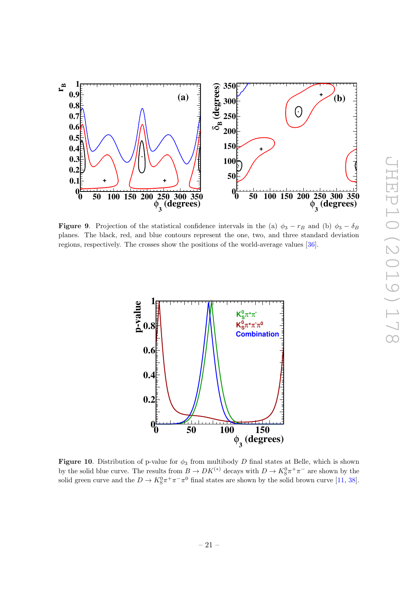

<span id="page-24-0"></span>**Figure 9.** Projection of the statistical confidence intervals in the (a)  $\phi_3 - r_B$  and (b)  $\phi_3 - \delta_B$ planes. The black, red, and blue contours represent the one, two, and three standard deviation regions, respectively. The crosses show the positions of the world-average values [\[36\]](#page-30-7).



<span id="page-24-1"></span>Figure 10. Distribution of p-value for  $\phi_3$  from multibody D final states at Belle, which is shown by the solid blue curve. The results from  $B \to DK^{(*)}$  decays with  $D \to K_S^0 \pi^+ \pi^-$  are shown by the solid green curve and the  $D \to K_S^0 \pi^+ \pi^- \pi^0$  final states are shown by the solid brown curve [\[11,](#page-29-1) [38\]](#page-30-9).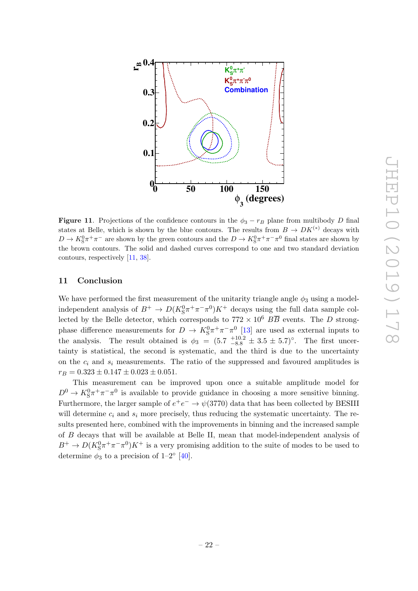

<span id="page-25-1"></span>**Figure 11.** Projections of the confidence contours in the  $\phi_3 - r_B$  plane from multibody D final states at Belle, which is shown by the blue contours. The results from  $B \to D K^{(*)}$  decays with  $D \to K_S^0 \pi^+ \pi^-$  are shown by the green contours and the  $D \to K_S^0 \pi^+ \pi^- \pi^0$  final states are shown by the brown contours. The solid and dashed curves correspond to one and two standard deviation contours, respectively [\[11,](#page-29-1) [38\]](#page-30-9).

### <span id="page-25-0"></span>11 Conclusion

We have performed the first measurement of the unitarity triangle angle  $\phi_3$  using a modelindependent analysis of  $B^+ \to D(K_S^0 \pi^+ \pi^- \pi^0) K^+$  decays using the full data sample collected by the Belle detector, which corresponds to  $772 \times 10^6$   $B\overline{B}$  events. The D strongphase difference measurements for  $D \to K_S^0 \pi^+ \pi^- \pi^0$  [\[13\]](#page-29-3) are used as external inputs to the analysis. The result obtained is  $\phi_3 = (5.7 \frac{+10.2}{-8.8} \pm 3.5 \pm 5.7)$ °. The first uncertainty is statistical, the second is systematic, and the third is due to the uncertainty on the  $c_i$  and  $s_i$  measurements. The ratio of the suppressed and favoured amplitudes is  $r_B = 0.323 \pm 0.147 \pm 0.023 \pm 0.051.$ 

This measurement can be improved upon once a suitable amplitude model for  $D^0 \to K^0_S \pi^+ \pi^- \pi^0$  is available to provide guidance in choosing a more sensitive binning. Furthermore, the larger sample of  $e^+e^- \to \psi(3770)$  data that has been collected by BESIII will determine  $c_i$  and  $s_i$  more precisely, thus reducing the systematic uncertainty. The results presented here, combined with the improvements in binning and the increased sample of B decays that will be available at Belle II, mean that model-independent analysis of  $B^+ \to D(K_S^0 \pi^+ \pi^- \pi^0) K^+$  is a very promising addition to the suite of modes to be used to determine  $\phi_3$  to a precision of  $1-2^{\circ}$  [\[40\]](#page-30-11).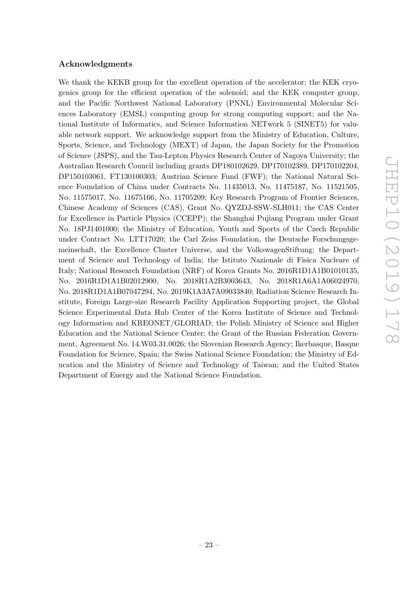#### Acknowledgments

We thank the KEKB group for the excellent operation of the accelerator; the KEK cryogenics group for the efficient operation of the solenoid; and the KEK computer group, and the Pacific Northwest National Laboratory (PNNL) Environmental Molecular Sciences Laboratory (EMSL) computing group for strong computing support; and the National Institute of Informatics, and Science Information NETwork 5 (SINET5) for valuable network support. We acknowledge support from the Ministry of Education, Culture, Sports, Science, and Technology (MEXT) of Japan, the Japan Society for the Promotion of Science (JSPS), and the Tau-Lepton Physics Research Center of Nagoya University; the Australian Research Council including grants DP180102629, DP170102389, DP170102204, DP150103061, FT130100303; Austrian Science Fund (FWF); the National Natural Science Foundation of China under Contracts No. 11435013, No. 11475187, No. 11521505, No. 11575017, No. 11675166, No. 11705209; Key Research Program of Frontier Sciences, Chinese Academy of Sciences (CAS), Grant No. QYZDJ-SSW-SLH011; the CAS Center for Excellence in Particle Physics (CCEPP); the Shanghai Pujiang Program under Grant No. 18PJ1401000; the Ministry of Education, Youth and Sports of the Czech Republic under Contract No. LTT17020; the Carl Zeiss Foundation, the Deutsche Forschungsgemeinschaft, the Excellence Cluster Universe, and the VolkswagenStiftung; the Department of Science and Technology of India; the Istituto Nazionale di Fisica Nucleare of Italy; National Research Foundation (NRF) of Korea Grants No. 2016R1D1A1B01010135, No. 2016R1D1A1B02012900, No. 2018R1A2B3003643, No. 2018R1A6A1A06024970, No. 2018R1D1A1B07047294, No. 2019K1A3A7A09033840; Radiation Science Research Institute, Foreign Large-size Research Facility Application Supporting project, the Global Science Experimental Data Hub Center of the Korea Institute of Science and Technology Information and KREONET/GLORIAD; the Polish Ministry of Science and Higher Education and the National Science Center; the Grant of the Russian Federation Government, Agreement No. 14.W03.31.0026; the Slovenian Research Agency; Ikerbasque, Basque Foundation for Science, Spain; the Swiss National Science Foundation; the Ministry of Education and the Ministry of Science and Technology of Taiwan; and the United States Department of Energy and the National Science Foundation.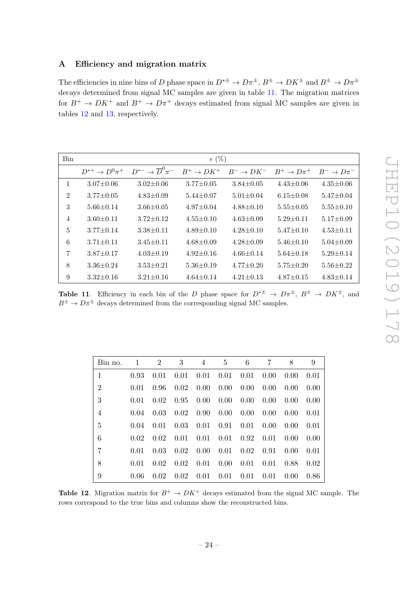# <span id="page-27-0"></span>A Efficiency and migration matrix

The efficiencies in nine bins of D phase space in  $D^{*\pm} \to D\pi^{\pm}$ ,  $B^{\pm} \to D K^{\pm}$  and  $B^{\pm} \to D\pi^{\pm}$ decays determined from signal MC samples are given in table [11.](#page-27-1) The migration matrices for  $B^+ \to D K^+$  and  $B^+ \to D \pi^+$  decays estimated from signal MC samples are given in tables [12](#page-27-2) and [13,](#page-28-9) respectively.

| <b>Bin</b>     |                        |                                   | $\epsilon$ (%)  |                 |                 |                  |
|----------------|------------------------|-----------------------------------|-----------------|-----------------|-----------------|------------------|
|                | $D^{*+} \to D^0 \pi^+$ | $D^{*-} \to \overline{D}^0 \pi^-$ | $B^+\to DK^+$   | $B^- \to D K^-$ | $B^+\to D\pi^+$ | $B^- \to D\pi^-$ |
| 1              | $3.07 \pm 0.06$        | $3.02 \pm 0.06$                   | $3.77 \pm 0.05$ | $3.84 \pm 0.05$ | $4.43 \pm 0.06$ | $4.35 \pm 0.06$  |
| $\overline{2}$ | $3.77 \pm 0.05$        | $4.83 \pm 0.09$                   | $5.44 \pm 0.07$ | $5.01 \pm 0.04$ | $6.15 \pm 0.08$ | $5.47 \pm 0.04$  |
| 3              | $5.66 \pm 0.14$        | $3.66 \pm 0.05$                   | $4.97 \pm 0.04$ | $4.88 \pm 0.10$ | $5.55 \pm 0.05$ | $5.55 \pm 0.10$  |
| $\overline{4}$ | $3.60 \pm 0.11$        | $3.72 \pm 0.12$                   | $4.55 \pm 0.10$ | $4.63 \pm 0.09$ | $5.29 \pm 0.11$ | $5.17 \pm 0.09$  |
| 5              | $3.77 \pm 0.14$        | $3.38 \pm 0.11$                   | $4.89 \pm 0.10$ | $4.28 \pm 0.10$ | $5.47 \pm 0.10$ | $4.53 \pm 0.11$  |
| 6              | $3.71 \pm 0.11$        | $3.45 \pm 0.11$                   | $4.68 \pm 0.09$ | $4.28 \pm 0.09$ | $5.46 \pm 0.10$ | $5.04 \pm 0.09$  |
| 7              | $3.87 \pm 0.17$        | $4.03 \pm 0.19$                   | $4.92 \pm 0.16$ | $4.66 \pm 0.14$ | $5.64 \pm 0.18$ | $5.29 \pm 0.14$  |
| 8              | $3.36 \pm 0.24$        | $3.53 \pm 0.21$                   | $5.36 \pm 0.19$ | $4.77 \pm 0.20$ | $5.75 \pm 0.20$ | $5.56 \pm 0.22$  |
| 9              | $3.32 \pm 0.16$        | $3.21 \pm 0.16$                   | $4.64 \pm 0.14$ | $4.21 \pm 0.13$ | $4.87 \pm 0.15$ | $4.83 \pm 0.14$  |

<span id="page-27-1"></span>**Table 11.** Efficiency in each bin of the D phase space for  $D^{*\pm} \to D\pi^{\pm}$ ,  $B^{\pm} \to D K^{\pm}$ , and  $B^{\pm} \to D\pi^{\pm}$  decays determined from the corresponding signal MC samples.

| Bin no.        | 1    | $\overline{2}$ | 3    | 4    | 5    | 6              | 7    | 8    | 9    |
|----------------|------|----------------|------|------|------|----------------|------|------|------|
| $\mathbf{1}$   | 0.93 | 0.01           | 0.01 | 0.01 | 0.01 | 0.01           | 0.00 | 0.00 | 0.01 |
| $\overline{2}$ | 0.01 | 0.96           | 0.02 | 0.00 | 0.00 | $0.00^{\circ}$ | 0.00 | 0.00 | 0.00 |
| 3              | 0.01 | 0.02           | 0.95 | 0.00 | 0.00 | $0.00\,$       | 0.00 | 0.00 | 0.00 |
| $\overline{4}$ | 0.04 | 0.03           | 0.02 | 0.90 | 0.00 | $0.00^{\circ}$ | 0.00 | 0.00 | 0.01 |
| 5              | 0.04 | 0.01           | 0.03 | 0.01 | 0.91 | 0.01           | 0.00 | 0.00 | 0.01 |
| 6              | 0.02 | 0.02           | 0.01 | 0.01 | 0.01 | 0.92           | 0.01 | 0.00 | 0.00 |
| $\overline{7}$ | 0.01 | 0.03           | 0.02 | 0.00 | 0.01 | 0.02           | 0.91 | 0.00 | 0.01 |
| 8              | 0.01 | 0.02           | 0.02 | 0.01 | 0.00 | 0.01           | 0.01 | 0.88 | 0.02 |
| 9              | 0.06 | 0.02           | 0.02 | 0.01 | 0.01 | 0.01           | 0.01 | 0.00 | 0.86 |

<span id="page-27-2"></span>**Table 12.** Migration matrix for  $B^+ \to DK^+$  decays estimated from the signal MC sample. The rows correspond to the true bins and columns show the reconstructed bins.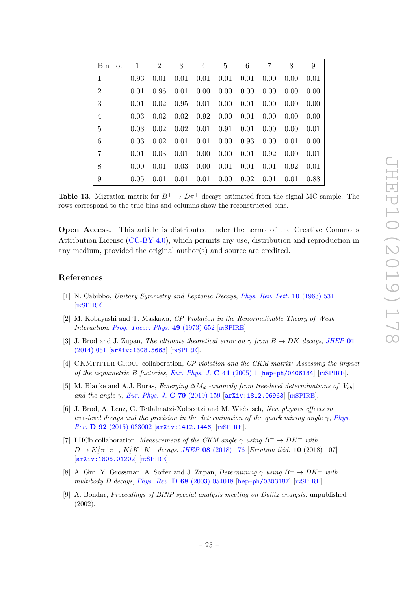| Bin no.        | 1    | $\overline{2}$ | 3    | 4    | 5    | 6    | 7    | 8    | 9    |
|----------------|------|----------------|------|------|------|------|------|------|------|
| 1              | 0.93 | 0.01           | 0.01 | 0.01 | 0.01 | 0.01 | 0.00 | 0.00 | 0.01 |
| $\overline{2}$ | 0.01 | 0.96           | 0.01 | 0.00 | 0.00 | 0.00 | 0.00 | 0.00 | 0.00 |
| 3              | 0.01 | 0.02           | 0.95 | 0.01 | 0.00 | 0.01 | 0.00 | 0.00 | 0.00 |
| $\overline{4}$ | 0.03 | 0.02           | 0.02 | 0.92 | 0.00 | 0.01 | 0.00 | 0.00 | 0.00 |
| $\overline{5}$ | 0.03 | 0.02           | 0.02 | 0.01 | 0.91 | 0.01 | 0.00 | 0.00 | 0.01 |
| 6              | 0.03 | 0.02           | 0.01 | 0.01 | 0.00 | 0.93 | 0.00 | 0.01 | 0.00 |
| 7              | 0.01 | 0.03           | 0.01 | 0.00 | 0.00 | 0.01 | 0.92 | 0.00 | 0.01 |
| 8              | 0.00 | 0.01           | 0.03 | 0.00 | 0.01 | 0.01 | 0.01 | 0.92 | 0.01 |
| 9              | 0.05 | 0.01           | 0.01 | 0.01 | 0.00 | 0.02 | 0.01 | 0.01 | 0.88 |

<span id="page-28-9"></span>**Table 13.** Migration matrix for  $B^+ \to D\pi^+$  decays estimated from the signal MC sample. The rows correspond to the true bins and columns show the reconstructed bins.

Open Access. This article is distributed under the terms of the Creative Commons Attribution License [\(CC-BY 4.0\)](https://creativecommons.org/licenses/by/4.0/), which permits any use, distribution and reproduction in any medium, provided the original author(s) and source are credited.

#### References

- <span id="page-28-0"></span>[1] N. Cabibbo, Unitary Symmetry and Leptonic Decays, [Phys. Rev. Lett.](https://doi.org/10.1103/PhysRevLett.10.531) **10** (1963) 531 [IN[SPIRE](https://inspirehep.net/search?p=find+J+%22Phys.Rev.Lett.,10,531%22)].
- <span id="page-28-1"></span>[2] M. Kobayashi and T. Maskawa, CP Violation in the Renormalizable Theory of Weak Interaction, [Prog. Theor. Phys.](https://doi.org/10.1143/PTP.49.652) 49 (1973) 652 [IN[SPIRE](https://inspirehep.net/search?p=find+J+%22Prog.Theor.Phys.,49,652%22)].
- <span id="page-28-2"></span>[3] J. Brod and J. Zupan, The ultimate theoretical error on  $\gamma$  from  $B \to DK$  decays, [JHEP](https://doi.org/10.1007/JHEP01(2014)051) 01 [\(2014\) 051](https://doi.org/10.1007/JHEP01(2014)051) [[arXiv:1308.5663](https://arxiv.org/abs/1308.5663)] [IN[SPIRE](https://inspirehep.net/search?p=find+J+%22JHEP,1401,051%22)].
- <span id="page-28-3"></span>[4] CKMFITTER GROUP collaboration, CP violation and the CKM matrix: Assessing the impact of the asymmetric B factories, [Eur. Phys. J.](https://doi.org/10.1140/epjc/s2005-02169-1) C 41 (2005) 1 [[hep-ph/0406184](https://arxiv.org/abs/hep-ph/0406184)] [IN[SPIRE](https://inspirehep.net/search?p=find+EPRINT+hep-ph/0406184)].
- <span id="page-28-4"></span>[5] M. Blanke and A.J. Buras, Emerging  $\Delta M_d$  -anomaly from tree-level determinations of  $|V_{cb}|$ and the angle  $\gamma$ , [Eur. Phys. J.](https://doi.org/10.1140/epjc/s10052-019-6667-x) C 79 (2019) 159 [[arXiv:1812.06963](https://arxiv.org/abs/1812.06963)] [IN[SPIRE](https://inspirehep.net/search?p=find+J+%22Eur.Phys.J.,C79,159%22)].
- <span id="page-28-5"></span>[6] J. Brod, A. Lenz, G. Tetlalmatzi-Xolocotzi and M. Wiebusch, New physics effects in tree-level decays and the precision in the determination of the quark mixing angle  $\gamma$ , [Phys.](https://doi.org/10.1103/PhysRevD.92.033002) Rev. D 92 [\(2015\) 033002](https://doi.org/10.1103/PhysRevD.92.033002) [[arXiv:1412.1446](https://arxiv.org/abs/1412.1446)] [IN[SPIRE](https://inspirehep.net/search?p=find+J+%22Phys.Rev.,D92,033002%22)].
- <span id="page-28-6"></span>[7] LHCb collaboration, Measurement of the CKM angle  $\gamma$  using  $B^{\pm} \to D K^{\pm}$  with  $D \to K_S^0 \pi^+ \pi^-$ ,  $K_S^0 K^+ K^-$  decays, JHEP 08 [\(2018\) 176](https://doi.org/10.1007/JHEP08(2018)176) [Erratum ibid. 10 (2018) 107] [[arXiv:1806.01202](https://arxiv.org/abs/1806.01202)] [IN[SPIRE](https://inspirehep.net/search?p=find+J+%22JHEP,1808,176%22)].
- <span id="page-28-7"></span>[8] A. Giri, Y. Grossman, A. Soffer and J. Zupan, Determining  $\gamma$  using  $B^{\pm} \to D K^{\pm}$  with multibody D decays, Phys. Rev. D  $68$  [\(2003\) 054018](https://doi.org/10.1103/PhysRevD.68.054018) [[hep-ph/0303187](https://arxiv.org/abs/hep-ph/0303187)] [IN[SPIRE](https://inspirehep.net/search?p=find+EPRINT+hep-ph/0303187)].
- <span id="page-28-8"></span>[9] A. Bondar, Proceedings of BINP special analysis meeting on Dalitz analysis, unpublished (2002).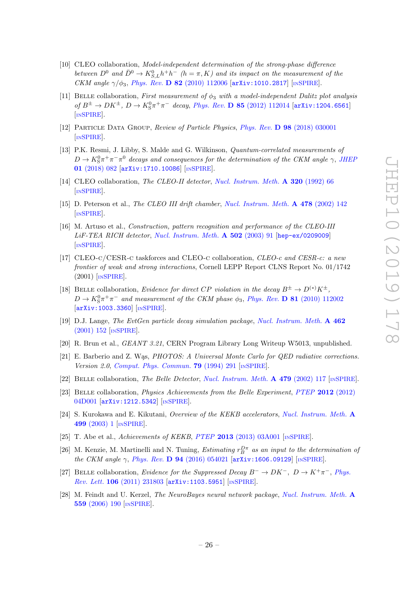- <span id="page-29-0"></span>[10] CLEO collaboration, Model-independent determination of the strong-phase difference between  $D^0$  and  $\bar{D}^0 \to K_{S,L}^0 h^+ h^-$  (h =  $\pi, K$ ) and its impact on the measurement of the CKM angle  $\gamma/\phi_3$ , Phys. Rev. D 82 [\(2010\) 112006](https://doi.org/10.1103/PhysRevD.82.112006) [[arXiv:1010.2817](https://arxiv.org/abs/1010.2817)] [IN[SPIRE](https://inspirehep.net/search?p=find+EPRINT+arXiv:1010.2817)].
- <span id="page-29-1"></span>[11] BELLE collaboration, First measurement of  $\phi_3$  with a model-independent Dalitz plot analysis of  $B^{\pm} \to D K^{\pm}$ ,  $D \to K_S^0 \pi^+ \pi^-$  decay, Phys. Rev. **D 85** [\(2012\) 112014](https://doi.org/10.1103/PhysRevD.85.112014) [[arXiv:1204.6561](https://arxiv.org/abs/1204.6561)] [IN[SPIRE](https://inspirehep.net/search?p=find+EPRINT+arXiv:1204.6561)].
- <span id="page-29-2"></span>[12] Particle Data Group, Review of Particle Physics, Phys. Rev. D 98 [\(2018\) 030001](https://doi.org/10.1103/PhysRevD.98.030001) [IN[SPIRE](http://inspirehep.net/record/1688995)].
- <span id="page-29-3"></span>[13] P.K. Resmi, J. Libby, S. Malde and G. Wilkinson, Quantum-correlated measurements of  $D \to K^0_S \pi^+ \pi^- \pi^0$  decays and consequences for the determination of the CKM angle  $\gamma$ , [JHEP](https://doi.org/10.1007/JHEP01(2018)082) 01 [\(2018\) 082](https://doi.org/10.1007/JHEP01(2018)082) [[arXiv:1710.10086](https://arxiv.org/abs/1710.10086)] [IN[SPIRE](https://inspirehep.net/search?p=find+EPRINT+arXiv:1710.10086)].
- <span id="page-29-4"></span>[14] CLEO collaboration, *The CLEO-II detector*, *[Nucl. Instrum. Meth.](https://doi.org/10.1016/0168-9002(92)90770-5)* **A 320** (1992) 66 [IN[SPIRE](https://inspirehep.net/search?p=find+J+%22Nucl.Instrum.Meth.,A320,66%22)].
- [15] D. Peterson et al., The CLEO III drift chamber, [Nucl. Instrum. Meth.](https://doi.org/10.1016/S0168-9002(01)01737-5) A 478 (2002) 142 [IN[SPIRE](https://inspirehep.net/search?p=find+J+%22Nucl.Instrum.Meth.,A478,142%22)].
- [16] M. Artuso et al., Construction, pattern recognition and performance of the CLEO-III  $LiF-TEA$  RICH detector, [Nucl. Instrum. Meth.](https://doi.org/10.1016/S0168-9002(02)02162-9)  $\bf{A}$  502 (2003) 91 [[hep-ex/0209009](https://arxiv.org/abs/hep-ex/0209009)] [IN[SPIRE](https://inspirehep.net/search?p=find+J+%22Nucl.Instrum.Meth.,A502,91%22)].
- <span id="page-29-5"></span>[17] CLEO-c/CESR-c taskforces and CLEO-c collaboration, CLEO-c and CESR-c: a new frontier of weak and strong interactions, Cornell LEPP Report CLNS Report No. 01/1742  $(2001)$  [IN[SPIRE](https://inspirehep.net/search?p=find+IRN+4703898)].
- <span id="page-29-6"></span>[18] BELLE collaboration, Evidence for direct CP violation in the decay  $B^{\pm} \to D^{(*)}K^{\pm}$ ,  $D \to K^0_S \pi^+ \pi^-$  and measurement of the CKM phase  $\phi_3$ , Phys. Rev. **D 81** [\(2010\) 112002](https://doi.org/10.1103/PhysRevD.81.112002) [[arXiv:1003.3360](https://arxiv.org/abs/1003.3360)] [IN[SPIRE](https://inspirehep.net/search?p=find+EPRINT+arXiv:1003.3360)].
- <span id="page-29-7"></span>[19] D.J. Lange, The EvtGen particle decay simulation package, [Nucl. Instrum. Meth.](https://doi.org/10.1016/S0168-9002(01)00089-4) A 462  $(2001)$  152 [IN[SPIRE](https://inspirehep.net/search?p=find+J+%22Nucl.Instrum.Meth.,A462,152%22)].
- <span id="page-29-8"></span>[20] R. Brun et al., GEANT 3.21, CERN Program Library Long Writeup W5013, unpublished.
- <span id="page-29-9"></span>[21] E. Barberio and Z. Was, PHOTOS: A Universal Monte Carlo for QED radiative corrections. Version 2.0, [Comput. Phys. Commun.](https://doi.org/10.1016/0010-4655(94)90074-4) 79 (1994) 291  $\text{INSPIRE}$  $\text{INSPIRE}$  $\text{INSPIRE}$ .
- <span id="page-29-10"></span>[22] BELLE collaboration, The Belle Detector, [Nucl. Instrum. Meth.](https://doi.org/10.1016/S0168-9002(01)02013-7) A 479 (2002) 117 [IN[SPIRE](https://inspirehep.net/search?p=find+J+%22Nucl.Instrum.Meth.,A479,117%22)].
- <span id="page-29-11"></span>[23] Belle collaboration, Physics Achievements from the Belle Experiment, PTEP 2012 [\(2012\)](https://doi.org/10.1093/ptep/pts072) [04D001](https://doi.org/10.1093/ptep/pts072) [[arXiv:1212.5342](https://arxiv.org/abs/1212.5342)] [IN[SPIRE](https://inspirehep.net/search?p=find+EPRINT+arXiv:1212.5342)].
- <span id="page-29-12"></span>[24] S. Kurokawa and E. Kikutani, Overview of the KEKB accelerators, [Nucl. Instrum. Meth.](https://doi.org/10.1016/S0168-9002(02)01771-0) A 499 [\(2003\) 1](https://doi.org/10.1016/S0168-9002(02)01771-0) [IN[SPIRE](https://inspirehep.net/search?p=find+J+%22Nucl.Instrum.Meth.,A499,1%22)].
- <span id="page-29-13"></span>[25] T. Abe et al., Achievements of KEKB, PTEP 2013 [\(2013\) 03A001](https://doi.org/10.1093/ptep/pts102) [IN[SPIRE](https://inspirehep.net/search?p=find+J+%22PTEP,2013,03A001%22)].
- <span id="page-29-14"></span>[26] M. Kenzie, M. Martinelli and N. Tuning, *Estimating*  $r_B^{D\pi}$  as an input to the determination of the CKM angle  $\gamma$ , Phys. Rev. D 94 [\(2016\) 054021](https://doi.org/10.1103/PhysRevD.94.054021) [[arXiv:1606.09129](https://arxiv.org/abs/1606.09129)] [IN[SPIRE](https://inspirehep.net/search?p=find+EPRINT+arXiv:1606.09129)].
- <span id="page-29-15"></span>[27] BELLE collaboration, Evidence for the Suppressed Decay  $B^- \to D K^-$ ,  $D \to K^+ \pi^-$ , [Phys.](https://doi.org/10.1103/PhysRevLett.106.231803) Rev. Lett. 106 [\(2011\) 231803](https://doi.org/10.1103/PhysRevLett.106.231803) [[arXiv:1103.5951](https://arxiv.org/abs/1103.5951)] [IN[SPIRE](https://inspirehep.net/search?p=find+EPRINT+arXiv:1103.5951)].
- <span id="page-29-16"></span>[28] M. Feindt and U. Kerzel, The NeuroBayes neural network package, [Nucl. Instrum. Meth.](https://doi.org/10.1016/j.nima.2005.11.166) A 559 [\(2006\) 190](https://doi.org/10.1016/j.nima.2005.11.166) [IN[SPIRE](https://inspirehep.net/search?p=find+J+%22Nucl.Instrum.Meth.,A559,190%22)].